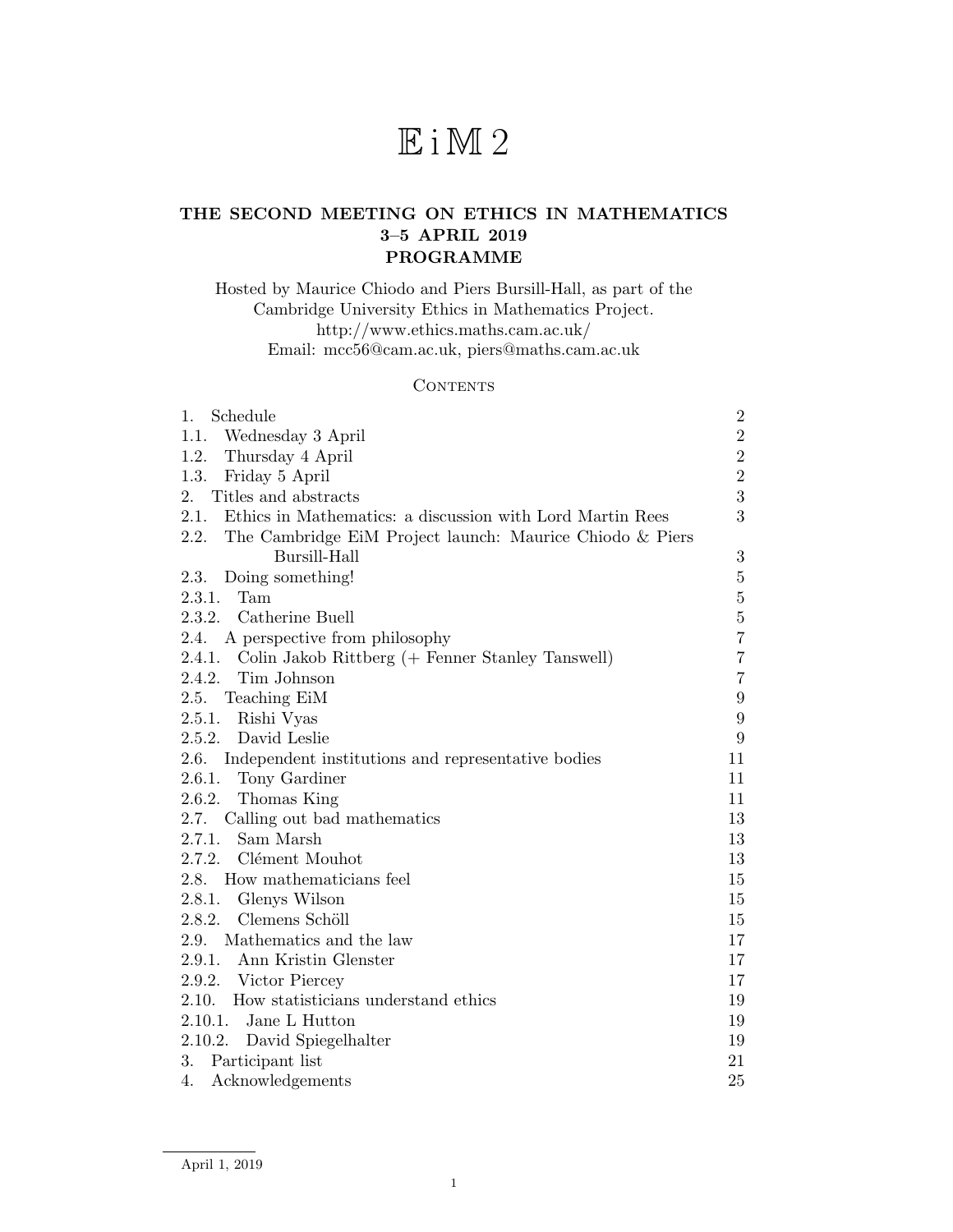# E i M 2

# THE SECOND MEETING ON ETHICS IN MATHEMATICS 3–5 APRIL 2019 PROGRAMME

Hosted by Maurice Chiodo and Piers Bursill-Hall, as part of the Cambridge University Ethics in Mathematics Project. http://www.ethics.maths.cam.ac.uk/ Email: mcc56@cam.ac.uk, piers@maths.cam.ac.uk

# **CONTENTS**

| Schedule<br>1.                                                    | $\sqrt{2}$       |
|-------------------------------------------------------------------|------------------|
| Wednesday 3 April<br>1.1.                                         | $\sqrt{2}$       |
| 1.2. Thursday 4 April                                             | $\boldsymbol{2}$ |
| 1.3. Friday 5 April                                               | $\overline{2}$   |
| 2. Titles and abstracts                                           | 3                |
| 2.1.<br>Ethics in Mathematics: a discussion with Lord Martin Rees | 3                |
| 2.2. The Cambridge EiM Project launch: Maurice Chiodo & Piers     |                  |
| Bursill-Hall                                                      | $\sqrt{3}$       |
| 2.3.<br>Doing something!                                          | $\bf 5$          |
| 2.3.1.<br>Tam                                                     | $\bf 5$          |
| Catherine Buell<br>2.3.2.                                         | $\bf 5$          |
| A perspective from philosophy<br>2.4.                             | $\overline{7}$   |
| 2.4.1. Colin Jakob Rittberg (+ Fenner Stanley Tanswell)           | $\overline{7}$   |
| 2.4.2.<br>Tim Johnson                                             | $\overline{7}$   |
| 2.5.<br>Teaching EiM                                              | $\boldsymbol{9}$ |
| 2.5.1.<br>Rishi Vyas                                              | $\boldsymbol{9}$ |
| 2.5.2. David Leslie                                               | $\boldsymbol{9}$ |
| 2.6. Independent institutions and representative bodies           | 11               |
| 2.6.1. Tony Gardiner                                              | 11               |
| 2.6.2.<br>Thomas King                                             | 11               |
| Calling out bad mathematics<br>2.7.                               | 13               |
| Sam Marsh<br>2.7.1.                                               | 13               |
| 2.7.2. Clément Mouhot                                             | 13               |
| 2.8. How mathematicians feel                                      | 15               |
| 2.8.1.<br>Glenys Wilson                                           | 15               |
| 2.8.2. Clemens Schöll                                             | 15               |
| 2.9. Mathematics and the law                                      | 17               |
| 2.9.1. Ann Kristin Glenster                                       | 17               |
| 2.9.2. Victor Piercey                                             | 17               |
| 2.10. How statisticians understand ethics                         | 19               |
| 2.10.1. Jane L Hutton                                             | 19               |
| 2.10.2.<br>David Spiegelhalter                                    | 19               |
| 3.<br>Participant list                                            | 21               |
| Acknowledgements<br>4.                                            | 25               |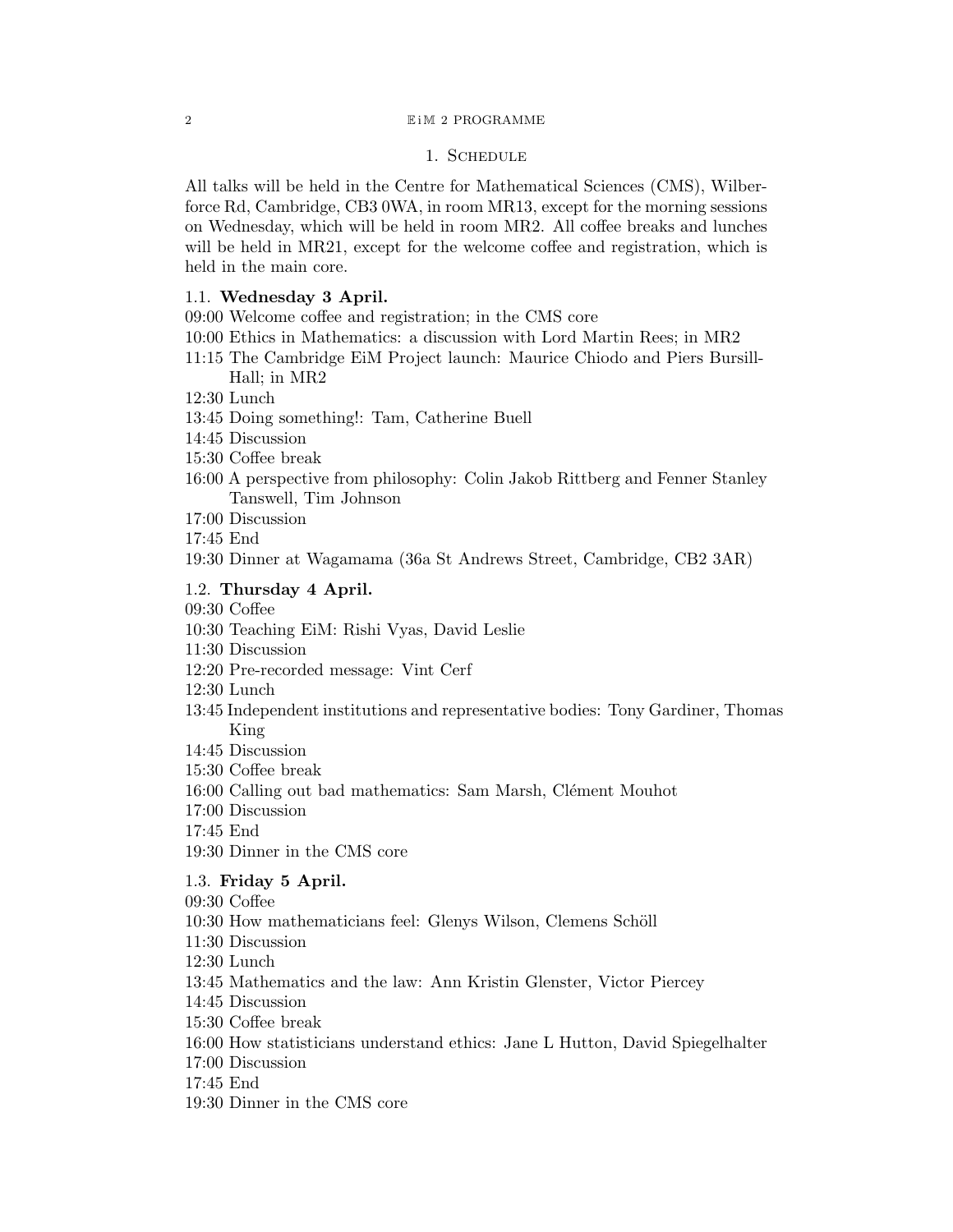#### <span id="page-1-0"></span> $2 \quad \text{E i } \mathbb{M} \; 2 \; \text{PROGRAMME}$

#### 1. Schedule

All talks will be held in the Centre for Mathematical Sciences (CMS), Wilberforce Rd, Cambridge, CB3 0WA, in room MR13, except for the morning sessions on Wednesday, which will be held in room MR2. All coffee breaks and lunches will be held in MR21, except for the welcome coffee and registration, which is held in the main core.

#### <span id="page-1-1"></span>1.1. Wednesday 3 April.

09:00 Welcome coffee and registration; in the CMS core

- 10:00 Ethics in Mathematics: a discussion with Lord Martin Rees; in MR2
- 11:15 The Cambridge EiM Project launch: Maurice Chiodo and Piers Bursill-Hall; in MR2
- 12:30 Lunch
- 13:45 Doing something!: Tam, Catherine Buell
- 14:45 Discussion
- 15:30 Coffee break
- 16:00 A perspective from philosophy: Colin Jakob Rittberg and Fenner Stanley Tanswell, Tim Johnson
- 17:00 Discussion
- 17:45 End
- 19:30 Dinner at Wagamama (36a St Andrews Street, Cambridge, CB2 3AR)

## <span id="page-1-2"></span>1.2. Thursday 4 April.

- 09:30 Coffee
- 10:30 Teaching EiM: Rishi Vyas, David Leslie
- 11:30 Discussion
- 12:20 Pre-recorded message: Vint Cerf
- 12:30 Lunch
- 13:45 Independent institutions and representative bodies: Tony Gardiner, Thomas King
- 14:45 Discussion
- 15:30 Coffee break
- 16:00 Calling out bad mathematics: Sam Marsh, Clément Mouhot
- 17:00 Discussion
- 17:45 End
- 19:30 Dinner in the CMS core

<span id="page-1-3"></span>1.3. Friday 5 April.

- 09:30 Coffee
- 10:30 How mathematicians feel: Glenys Wilson, Clemens Schöll
- 11:30 Discussion
- 12:30 Lunch
- 13:45 Mathematics and the law: Ann Kristin Glenster, Victor Piercey
- 14:45 Discussion
- 15:30 Coffee break
- 16:00 How statisticians understand ethics: Jane L Hutton, David Spiegelhalter
- 17:00 Discussion
- 17:45 End
- 19:30 Dinner in the CMS core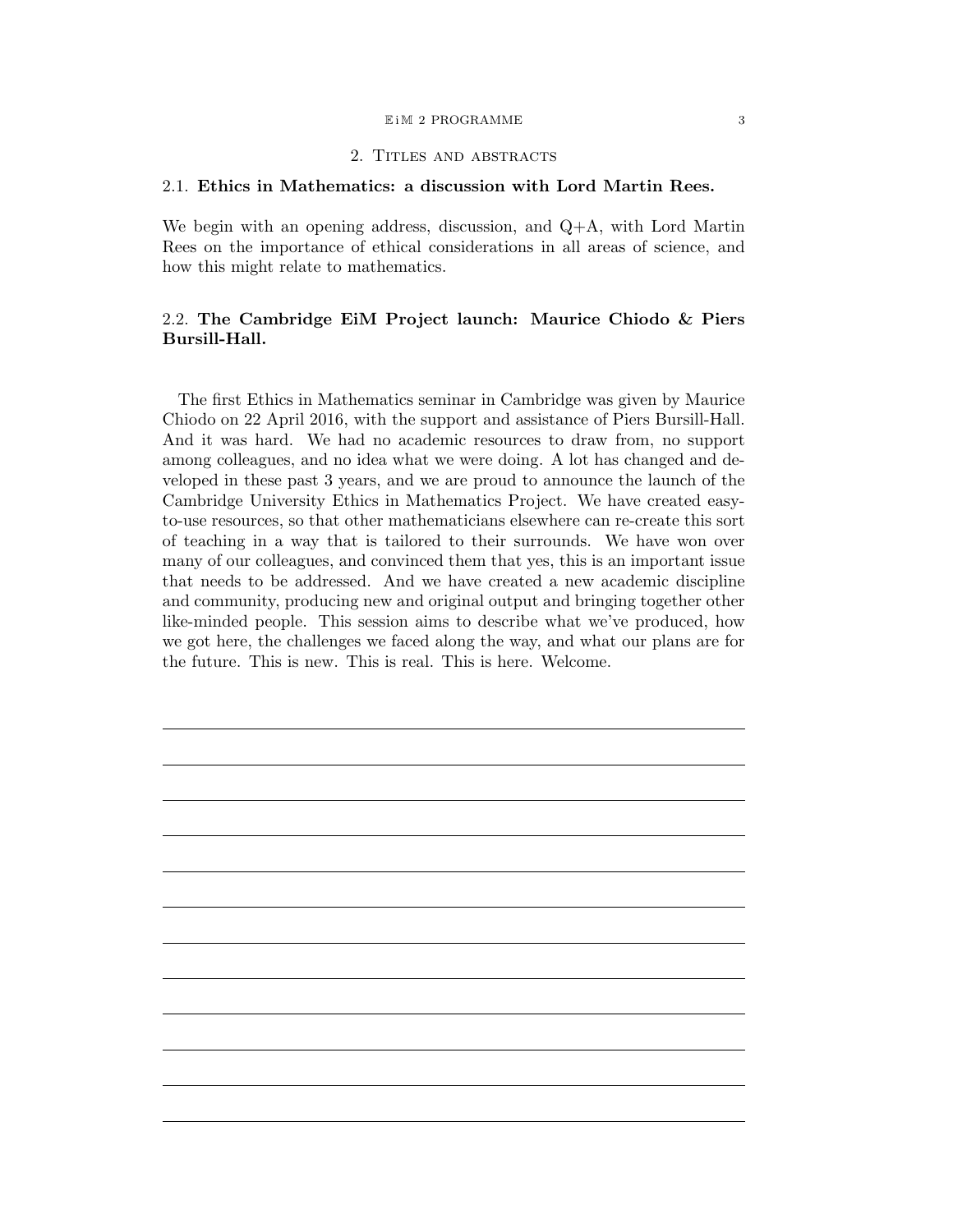#### $\mathbb E\texttt{i}\,\mathbb M$ 2 PROGRAMME 3

#### 2. Titles and abstracts

#### <span id="page-2-1"></span><span id="page-2-0"></span>2.1. Ethics in Mathematics: a discussion with Lord Martin Rees.

We begin with an opening address, discussion, and Q+A, with Lord Martin Rees on the importance of ethical considerations in all areas of science, and how this might relate to mathematics.

# <span id="page-2-2"></span>2.2. The Cambridge EiM Project launch: Maurice Chiodo & Piers Bursill-Hall.

The first Ethics in Mathematics seminar in Cambridge was given by Maurice Chiodo on 22 April 2016, with the support and assistance of Piers Bursill-Hall. And it was hard. We had no academic resources to draw from, no support among colleagues, and no idea what we were doing. A lot has changed and developed in these past 3 years, and we are proud to announce the launch of the Cambridge University Ethics in Mathematics Project. We have created easyto-use resources, so that other mathematicians elsewhere can re-create this sort of teaching in a way that is tailored to their surrounds. We have won over many of our colleagues, and convinced them that yes, this is an important issue that needs to be addressed. And we have created a new academic discipline and community, producing new and original output and bringing together other like-minded people. This session aims to describe what we've produced, how we got here, the challenges we faced along the way, and what our plans are for the future. This is new. This is real. This is here. Welcome.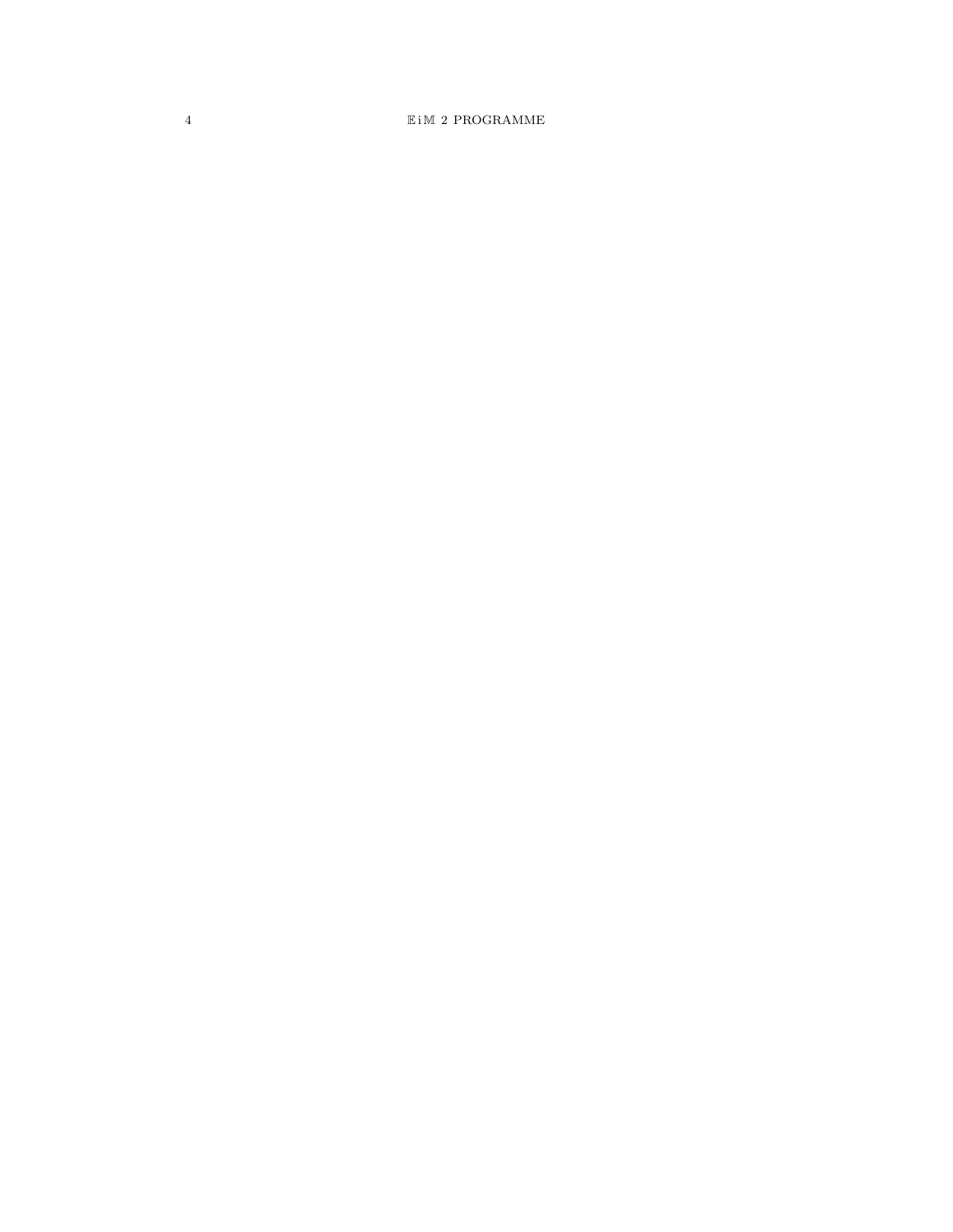4  $\mathbb{E} \text{ i } \mathbb{M}$  2 PROGRAMME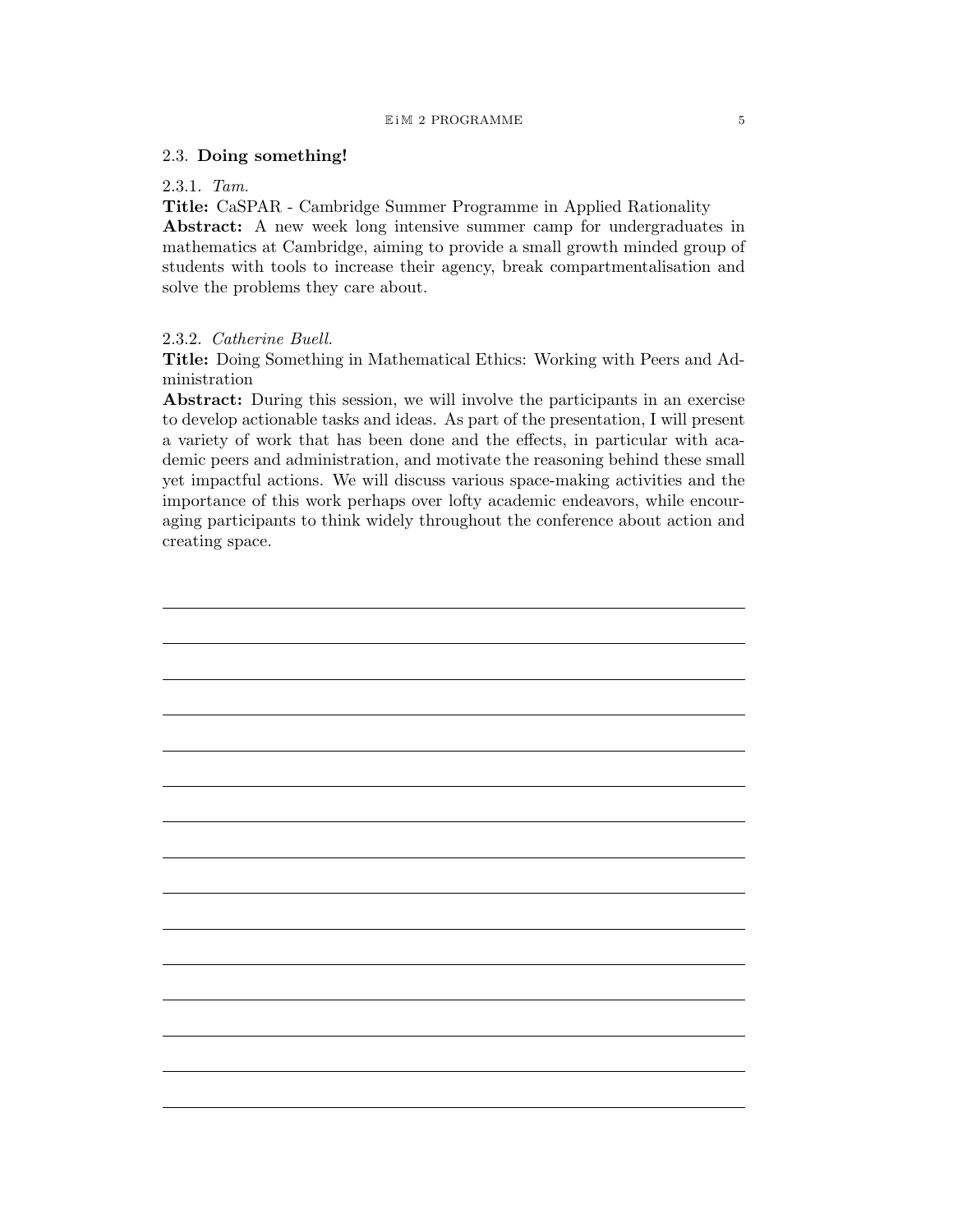#### $\mathbb E\texttt{i}\,\mathbb M$ 2 PROGRAMME 5

## <span id="page-4-0"></span>2.3. Doing something!

<span id="page-4-1"></span>2.3.1. Tam.

Title: CaSPAR - Cambridge Summer Programme in Applied Rationality

Abstract: A new week long intensive summer camp for undergraduates in mathematics at Cambridge, aiming to provide a small growth minded group of students with tools to increase their agency, break compartmentalisation and solve the problems they care about.

#### <span id="page-4-2"></span>2.3.2. Catherine Buell.

Title: Doing Something in Mathematical Ethics: Working with Peers and Administration

Abstract: During this session, we will involve the participants in an exercise to develop actionable tasks and ideas. As part of the presentation, I will present a variety of work that has been done and the effects, in particular with academic peers and administration, and motivate the reasoning behind these small yet impactful actions. We will discuss various space-making activities and the importance of this work perhaps over lofty academic endeavors, while encouraging participants to think widely throughout the conference about action and creating space.

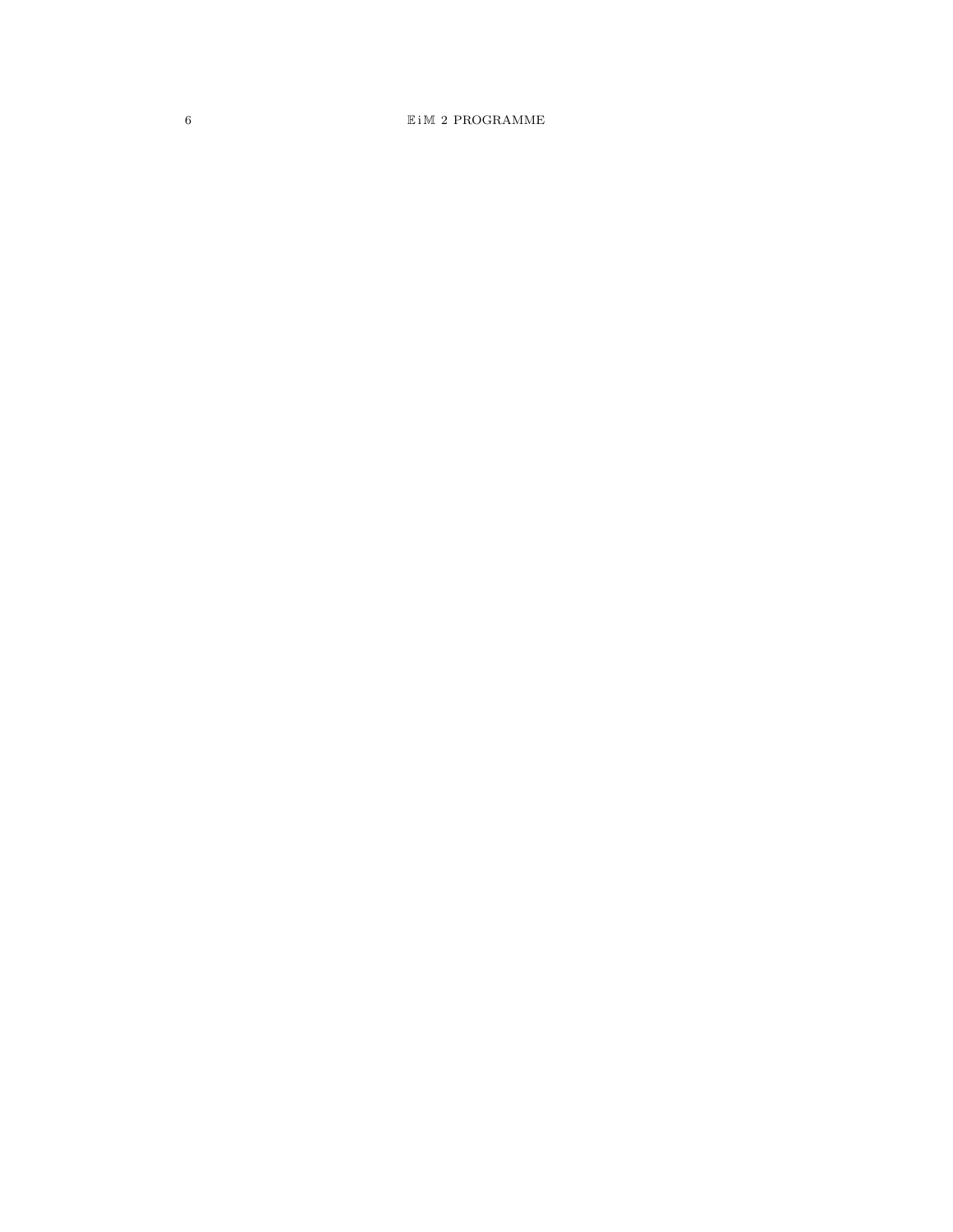$\mathbb{E}\hspace{.5mm} \mathrm{i}\hspace{.5mm}\mathbb{M}\hspace{.5mm}$ 2 $\hspace{.5mm}\mathrm{PROGRAMME}\hspace{.5mm}$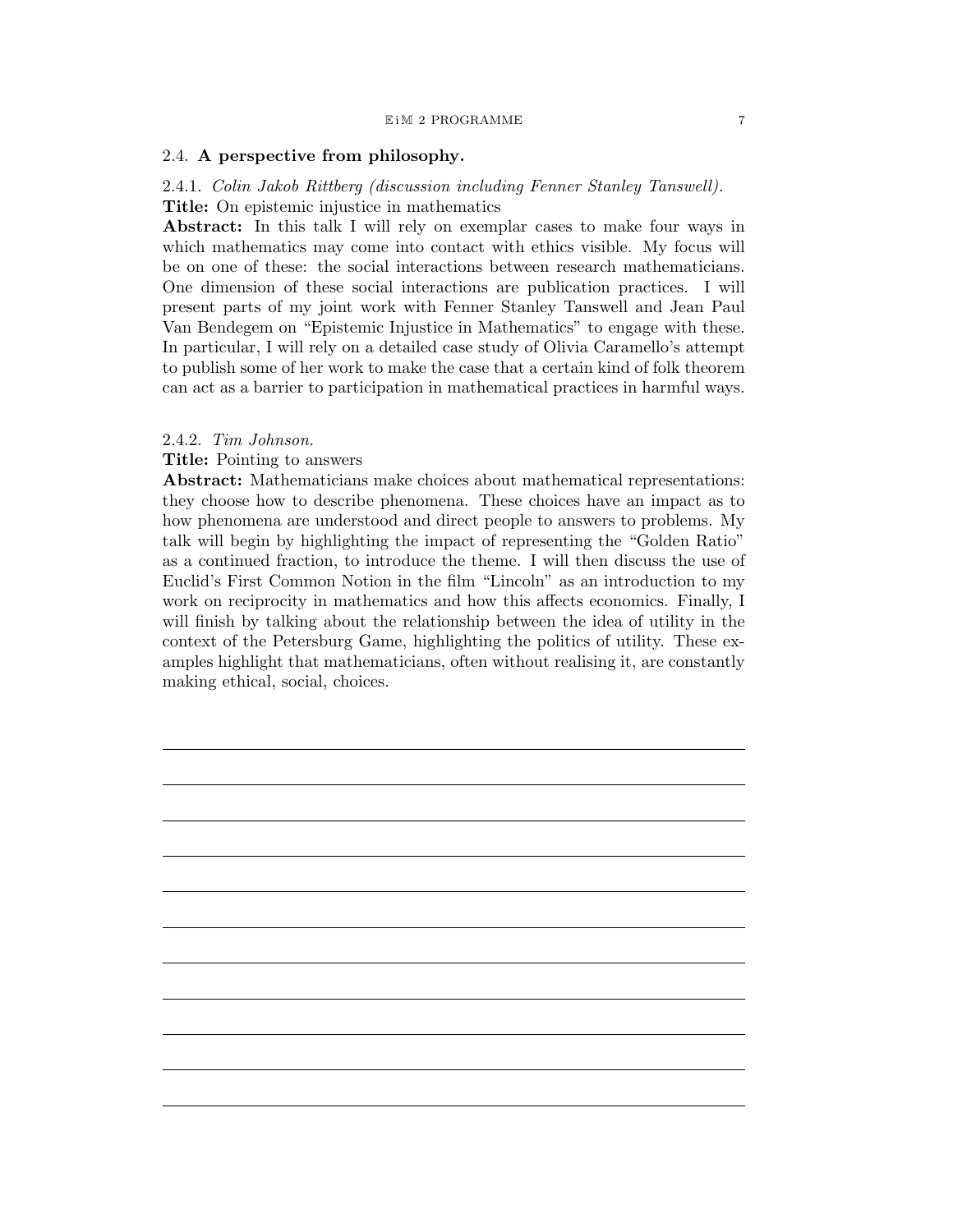#### <span id="page-6-0"></span>2.4. A perspective from philosophy.

# <span id="page-6-1"></span>2.4.1. Colin Jakob Rittberg (discussion including Fenner Stanley Tanswell). Title: On epistemic injustice in mathematics

Abstract: In this talk I will rely on exemplar cases to make four ways in which mathematics may come into contact with ethics visible. My focus will be on one of these: the social interactions between research mathematicians. One dimension of these social interactions are publication practices. I will present parts of my joint work with Fenner Stanley Tanswell and Jean Paul Van Bendegem on "Epistemic Injustice in Mathematics" to engage with these. In particular, I will rely on a detailed case study of Olivia Caramello's attempt to publish some of her work to make the case that a certain kind of folk theorem can act as a barrier to participation in mathematical practices in harmful ways.

#### <span id="page-6-2"></span>2.4.2. Tim Johnson.

### Title: Pointing to answers

Abstract: Mathematicians make choices about mathematical representations: they choose how to describe phenomena. These choices have an impact as to how phenomena are understood and direct people to answers to problems. My talk will begin by highlighting the impact of representing the "Golden Ratio" as a continued fraction, to introduce the theme. I will then discuss the use of Euclid's First Common Notion in the film "Lincoln" as an introduction to my work on reciprocity in mathematics and how this affects economics. Finally, I will finish by talking about the relationship between the idea of utility in the context of the Petersburg Game, highlighting the politics of utility. These examples highlight that mathematicians, often without realising it, are constantly making ethical, social, choices.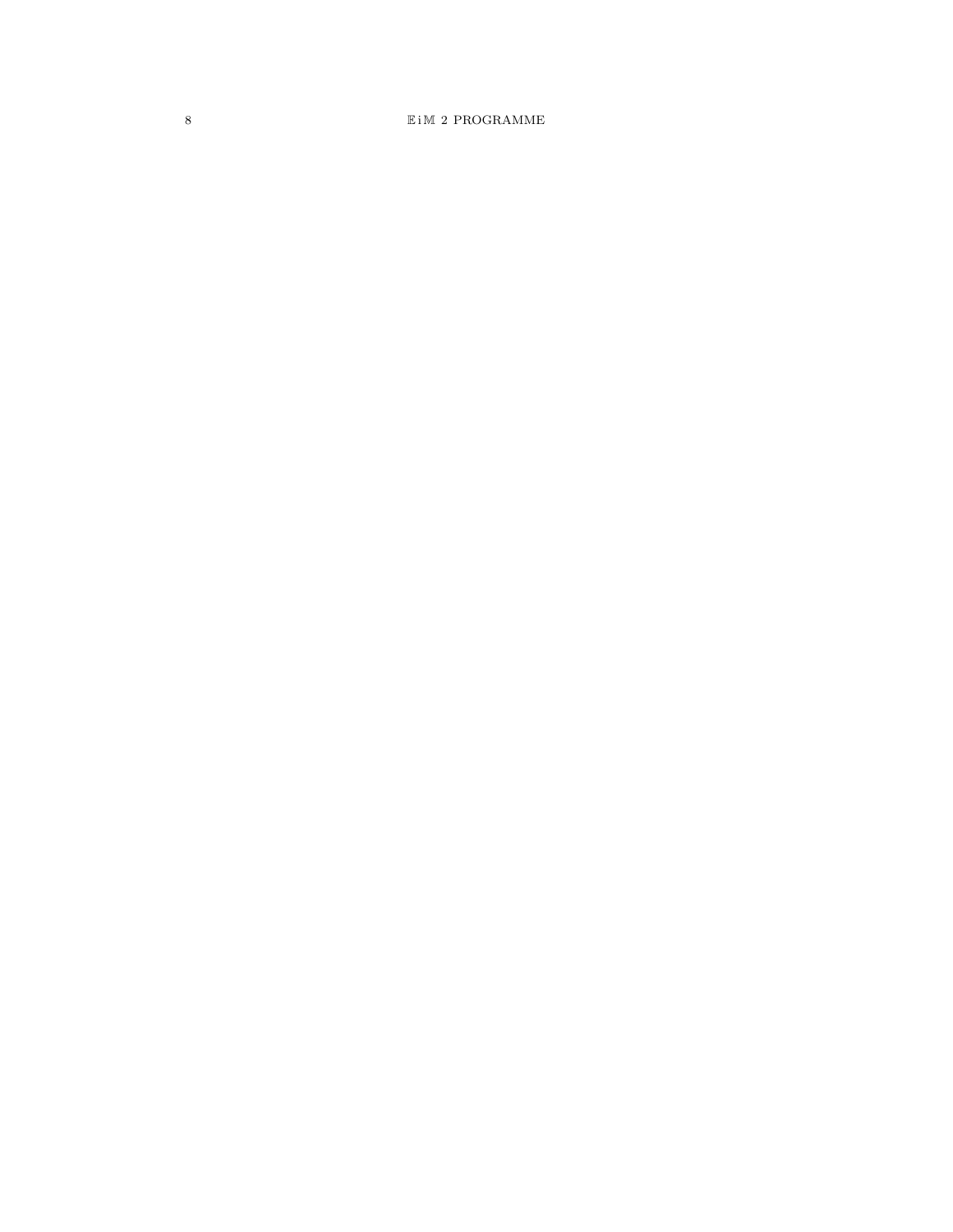8  $E i M 2 PROGRAMME$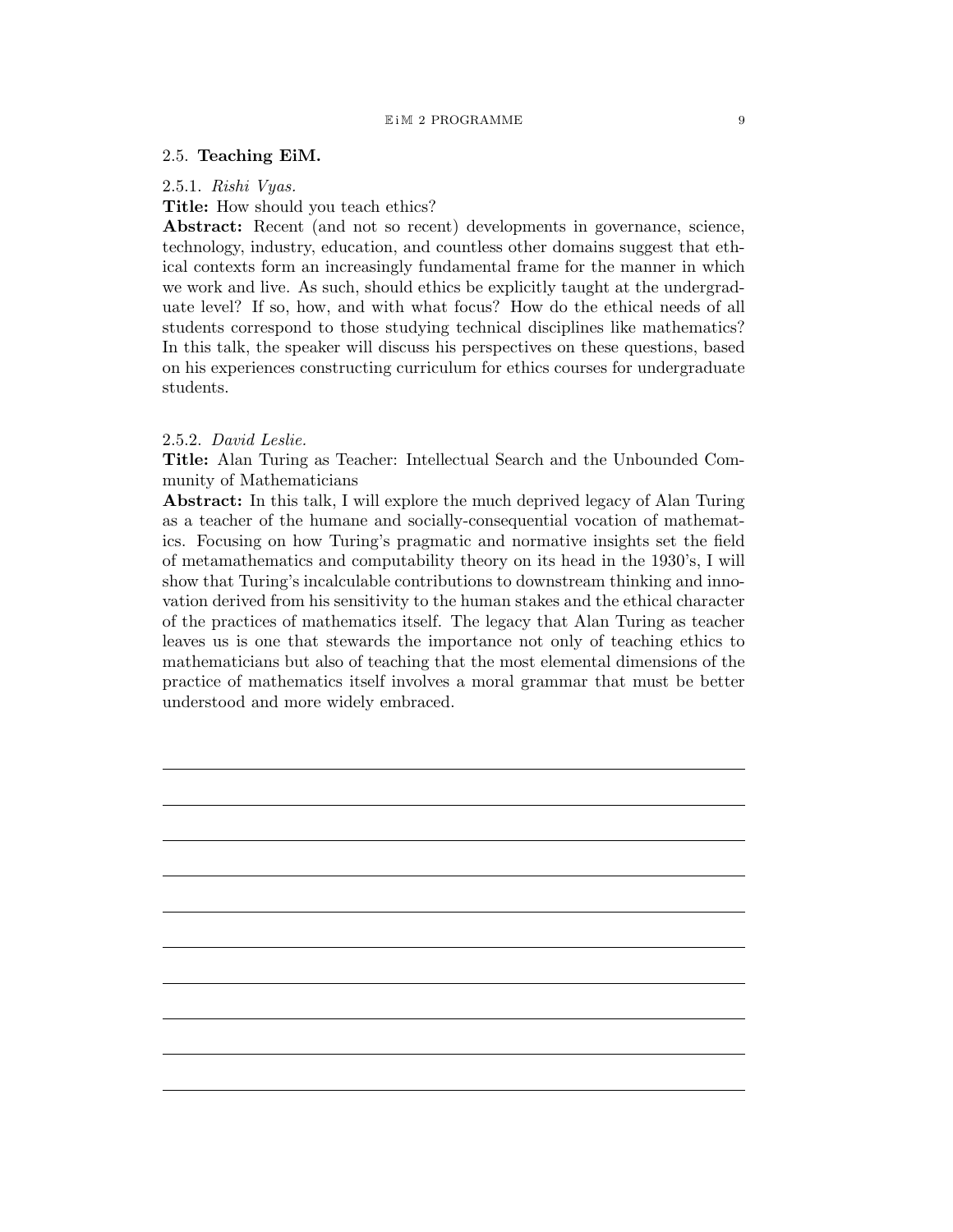### <span id="page-8-0"></span>2.5. Teaching EiM.

<span id="page-8-1"></span>2.5.1. Rishi Vyas.

Title: How should you teach ethics?

Abstract: Recent (and not so recent) developments in governance, science, technology, industry, education, and countless other domains suggest that ethical contexts form an increasingly fundamental frame for the manner in which we work and live. As such, should ethics be explicitly taught at the undergraduate level? If so, how, and with what focus? How do the ethical needs of all students correspond to those studying technical disciplines like mathematics? In this talk, the speaker will discuss his perspectives on these questions, based on his experiences constructing curriculum for ethics courses for undergraduate students.

#### <span id="page-8-2"></span>2.5.2. David Leslie.

Title: Alan Turing as Teacher: Intellectual Search and the Unbounded Community of Mathematicians

Abstract: In this talk, I will explore the much deprived legacy of Alan Turing as a teacher of the humane and socially-consequential vocation of mathematics. Focusing on how Turing's pragmatic and normative insights set the field of metamathematics and computability theory on its head in the 1930's, I will show that Turing's incalculable contributions to downstream thinking and innovation derived from his sensitivity to the human stakes and the ethical character of the practices of mathematics itself. The legacy that Alan Turing as teacher leaves us is one that stewards the importance not only of teaching ethics to mathematicians but also of teaching that the most elemental dimensions of the practice of mathematics itself involves a moral grammar that must be better understood and more widely embraced.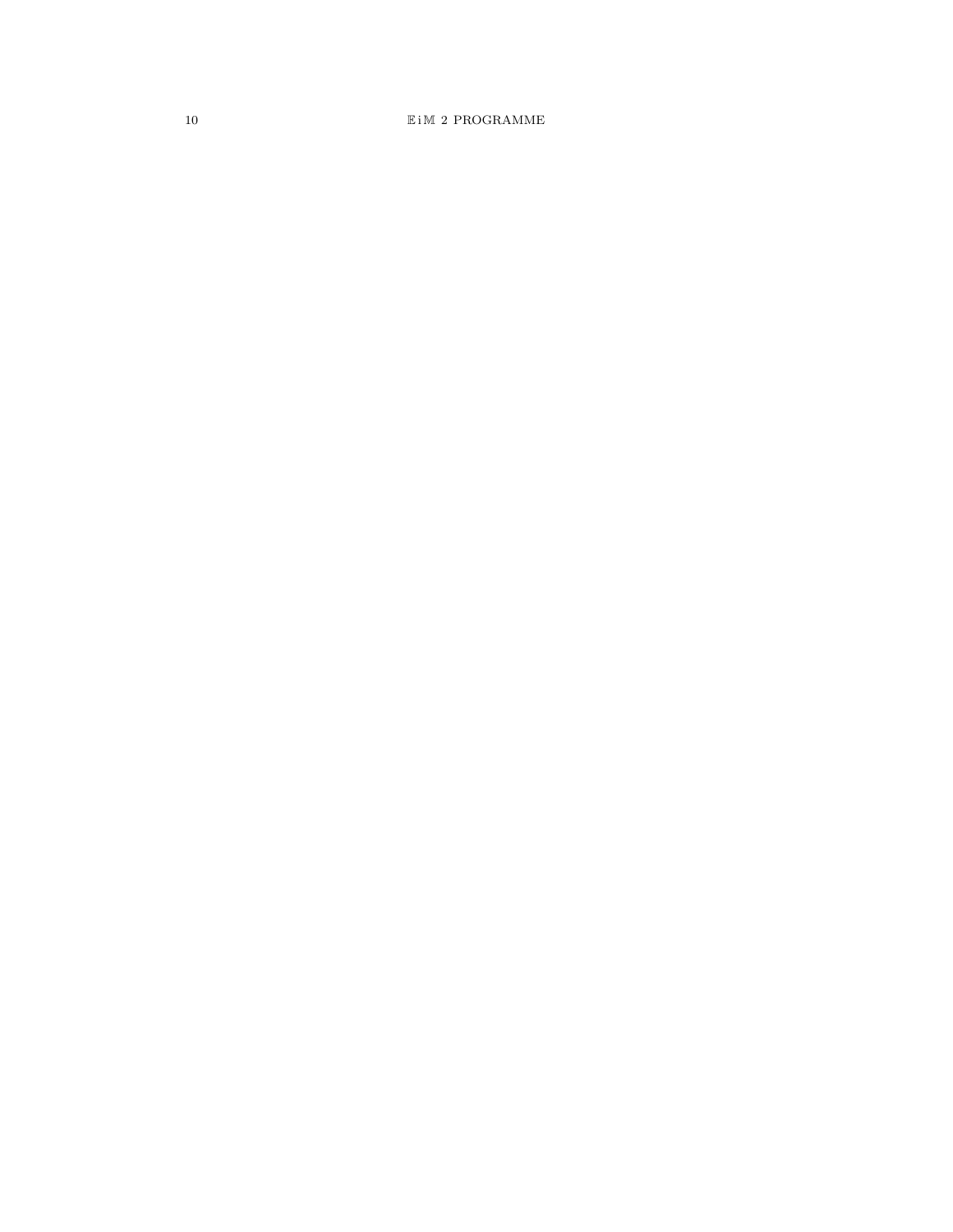$\mathbb{E}\hspace{.5mm} \mathrm{i}\hspace{.5mm}\mathbb{M}$ 2 PROGRAMME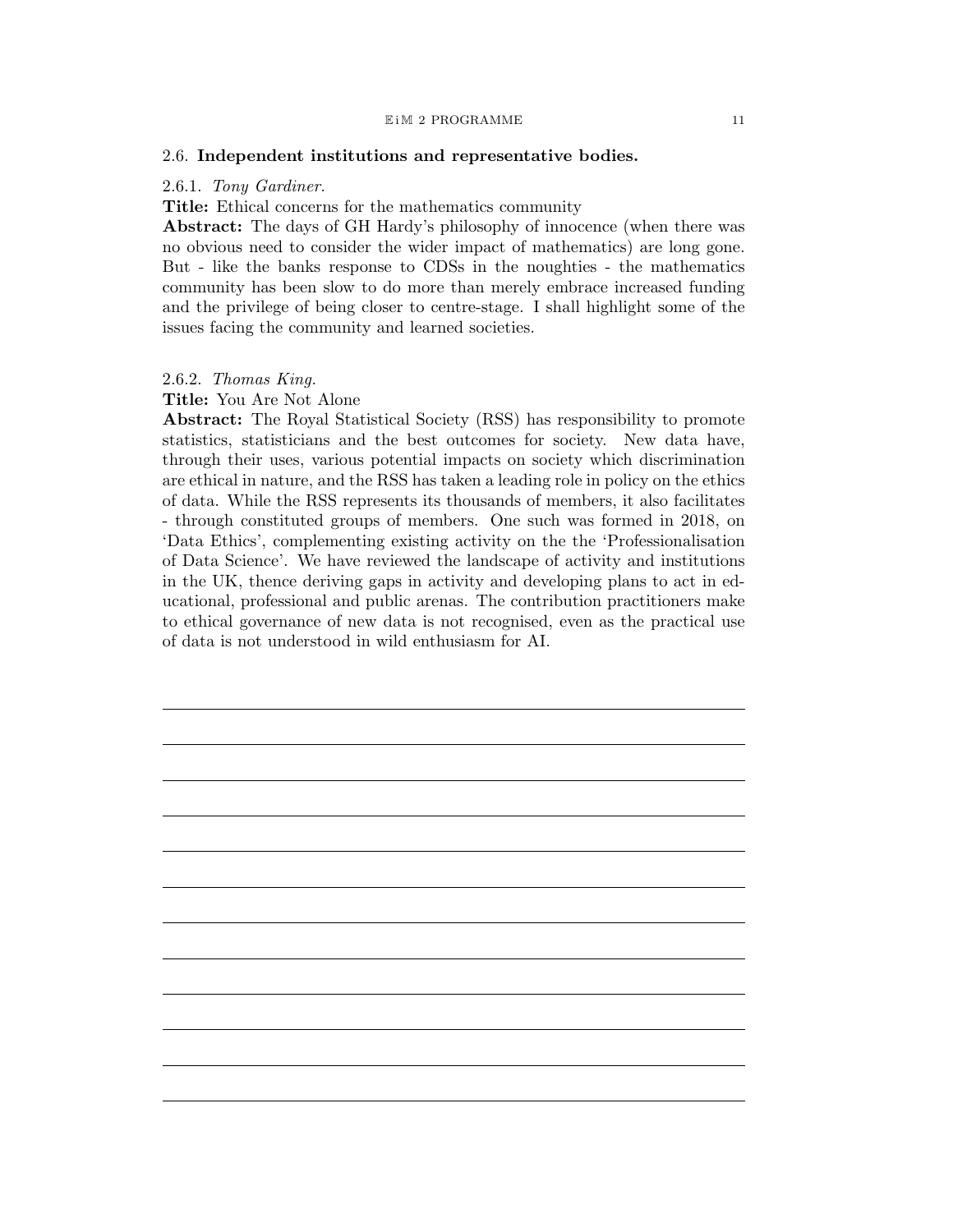#### $E i M 2 PROGRAMME$  11

#### <span id="page-10-0"></span>2.6. Independent institutions and representative bodies.

#### <span id="page-10-1"></span>2.6.1. Tony Gardiner.

Title: Ethical concerns for the mathematics community

Abstract: The days of GH Hardy's philosophy of innocence (when there was no obvious need to consider the wider impact of mathematics) are long gone. But - like the banks response to CDSs in the noughties - the mathematics community has been slow to do more than merely embrace increased funding and the privilege of being closer to centre-stage. I shall highlight some of the issues facing the community and learned societies.

#### <span id="page-10-2"></span>2.6.2. Thomas King.

Title: You Are Not Alone

Abstract: The Royal Statistical Society (RSS) has responsibility to promote statistics, statisticians and the best outcomes for society. New data have, through their uses, various potential impacts on society which discrimination are ethical in nature, and the RSS has taken a leading role in policy on the ethics of data. While the RSS represents its thousands of members, it also facilitates - through constituted groups of members. One such was formed in 2018, on 'Data Ethics', complementing existing activity on the the 'Professionalisation of Data Science'. We have reviewed the landscape of activity and institutions in the UK, thence deriving gaps in activity and developing plans to act in educational, professional and public arenas. The contribution practitioners make to ethical governance of new data is not recognised, even as the practical use of data is not understood in wild enthusiasm for AI.

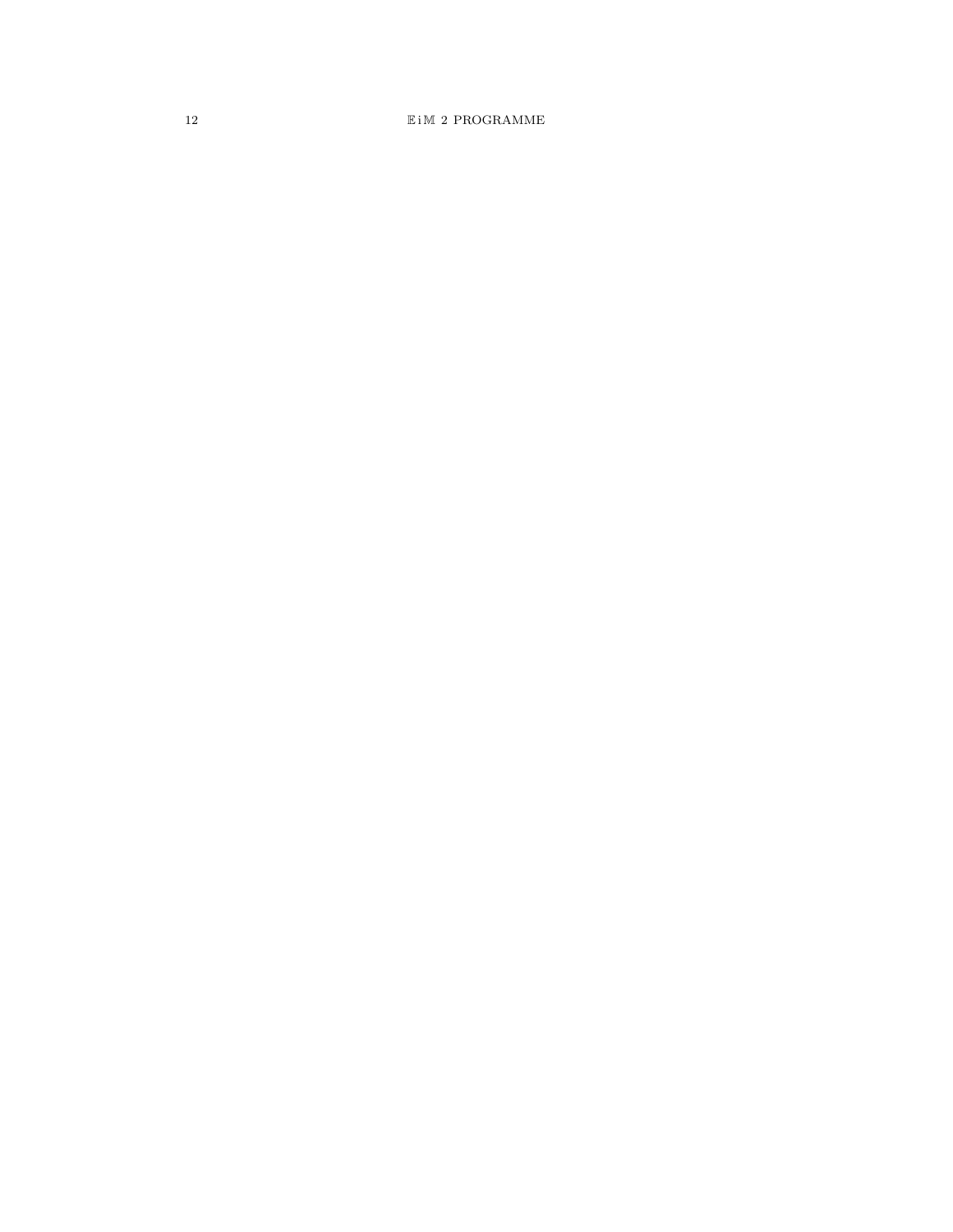$\mathbb{E}\hspace{.5mm} \mathrm{i}\hspace{.5mm}\mathbb{M}\hspace{.5mm}$ 2 $\hspace{.5mm}\mathrm{PROGRAMME}\hspace{.5mm}$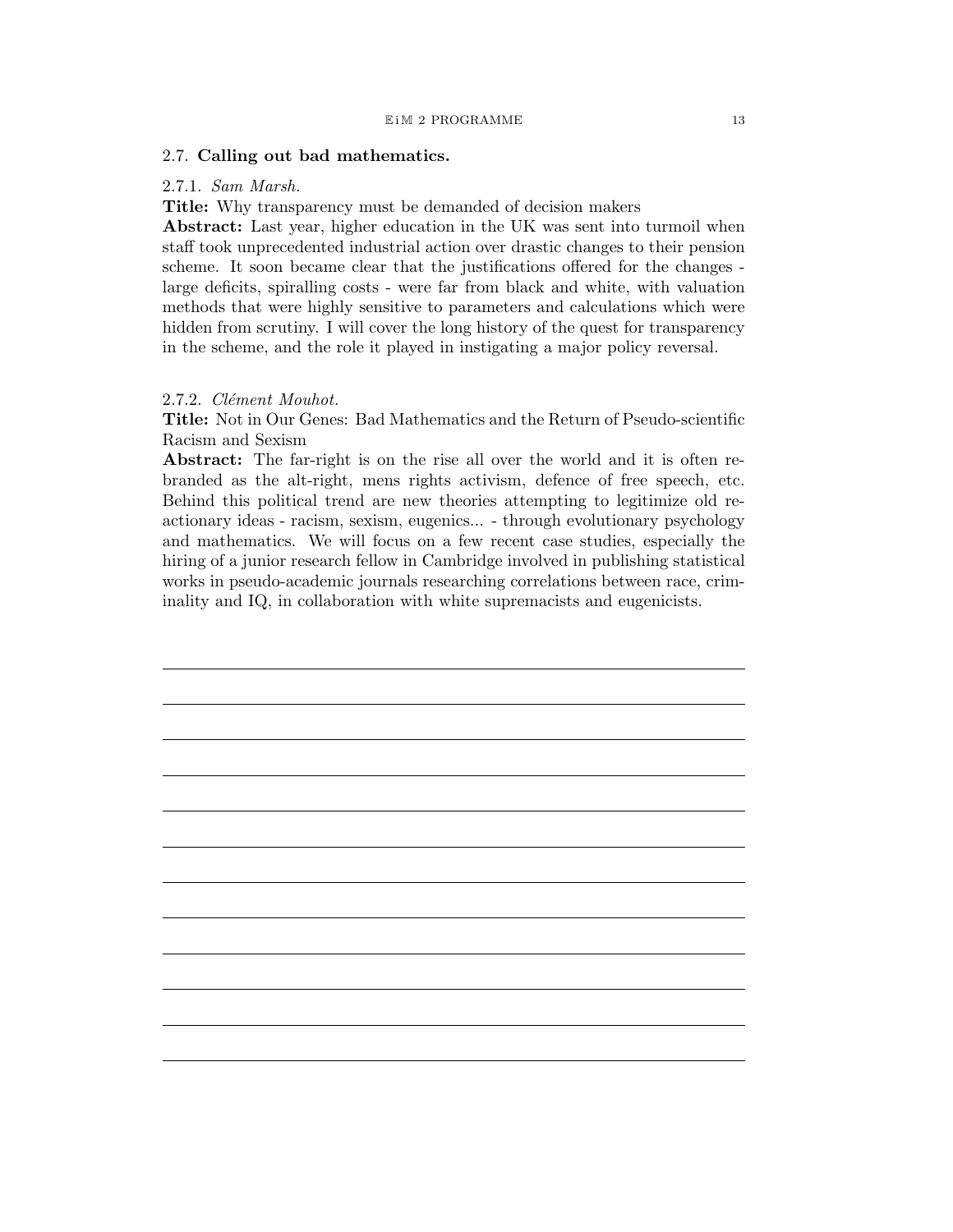#### <span id="page-12-0"></span>2.7. Calling out bad mathematics.

#### <span id="page-12-1"></span>2.7.1. Sam Marsh.

Title: Why transparency must be demanded of decision makers

Abstract: Last year, higher education in the UK was sent into turmoil when staff took unprecedented industrial action over drastic changes to their pension scheme. It soon became clear that the justifications offered for the changes large deficits, spiralling costs - were far from black and white, with valuation methods that were highly sensitive to parameters and calculations which were hidden from scrutiny. I will cover the long history of the quest for transparency in the scheme, and the role it played in instigating a major policy reversal.

#### <span id="page-12-2"></span>2.7.2. Clément Mouhot.

Title: Not in Our Genes: Bad Mathematics and the Return of Pseudo-scientific Racism and Sexism

Abstract: The far-right is on the rise all over the world and it is often rebranded as the alt-right, mens rights activism, defence of free speech, etc. Behind this political trend are new theories attempting to legitimize old reactionary ideas - racism, sexism, eugenics... - through evolutionary psychology and mathematics. We will focus on a few recent case studies, especially the hiring of a junior research fellow in Cambridge involved in publishing statistical works in pseudo-academic journals researching correlations between race, criminality and IQ, in collaboration with white supremacists and eugenicists.

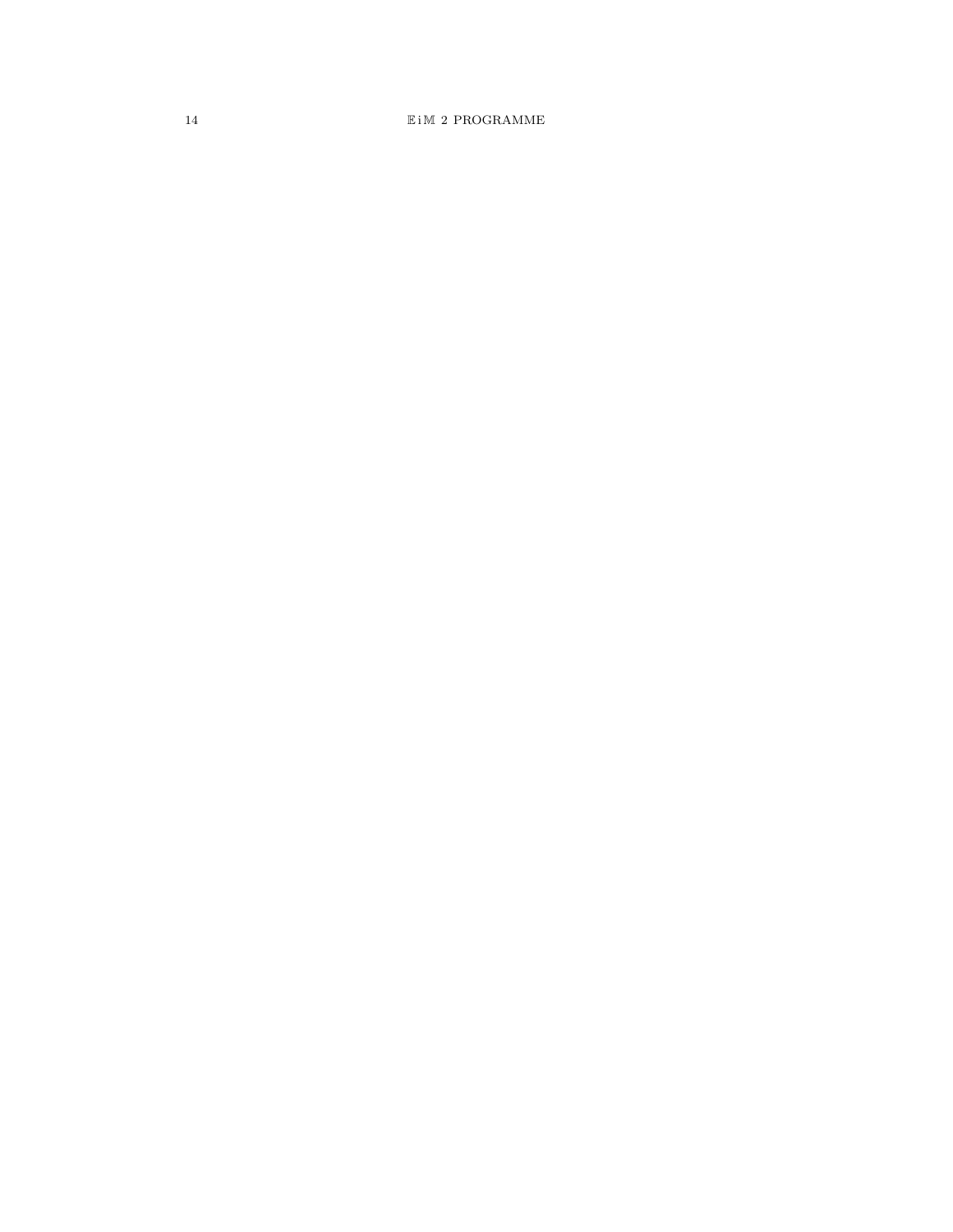$\mathbb{E}\hspace{.5mm} \mathrm{i}\hspace{.5mm}\mathbb{M}\hspace{.5mm}$ 2 $\hspace{.5mm}\text{PROGRAMME}$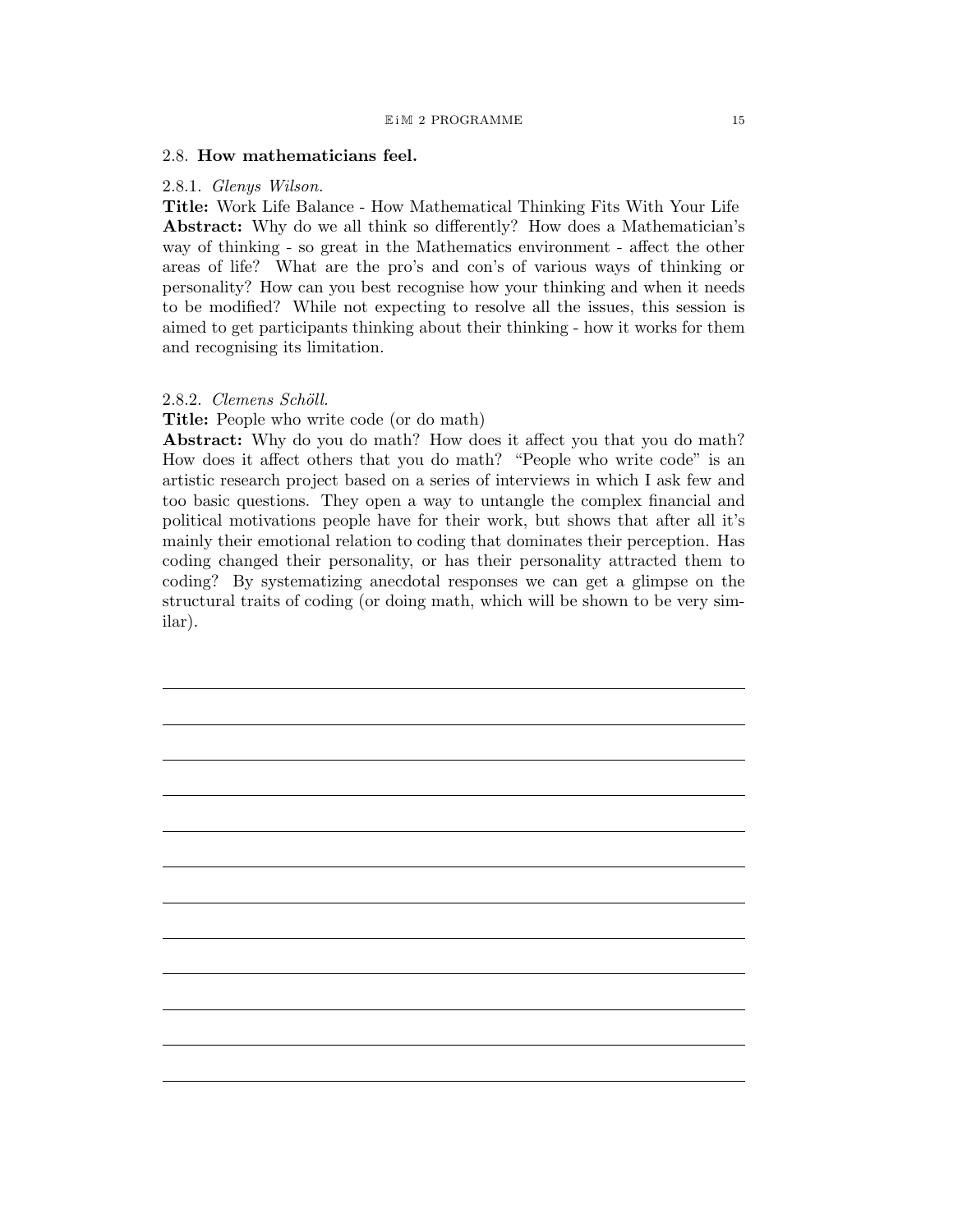#### <span id="page-14-0"></span>2.8. How mathematicians feel.

#### <span id="page-14-1"></span>2.8.1. Glenys Wilson.

Title: Work Life Balance - How Mathematical Thinking Fits With Your Life Abstract: Why do we all think so differently? How does a Mathematician's way of thinking - so great in the Mathematics environment - affect the other areas of life? What are the pro's and con's of various ways of thinking or personality? How can you best recognise how your thinking and when it needs to be modified? While not expecting to resolve all the issues, this session is aimed to get participants thinking about their thinking - how it works for them and recognising its limitation.

#### <span id="page-14-2"></span>2.8.2. Clemens Schöll.

Title: People who write code (or do math)

Abstract: Why do you do math? How does it affect you that you do math? How does it affect others that you do math? "People who write code" is an artistic research project based on a series of interviews in which I ask few and too basic questions. They open a way to untangle the complex financial and political motivations people have for their work, but shows that after all it's mainly their emotional relation to coding that dominates their perception. Has coding changed their personality, or has their personality attracted them to coding? By systematizing anecdotal responses we can get a glimpse on the structural traits of coding (or doing math, which will be shown to be very similar).

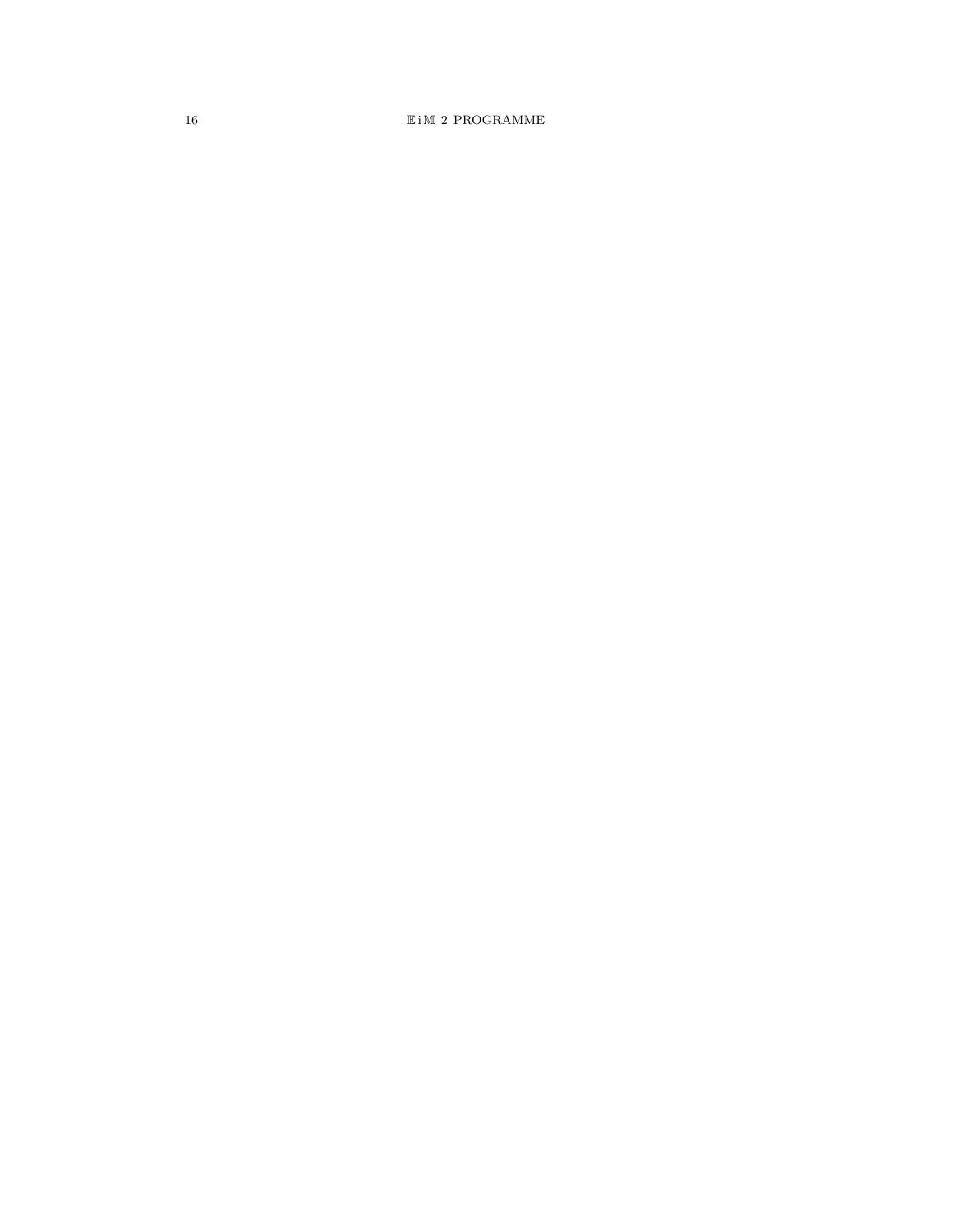$\mathbb{E}\hspace{.5mm} \mathrm{i}\hspace{.5mm}\mathbb{M}$ 2 PROGRAMME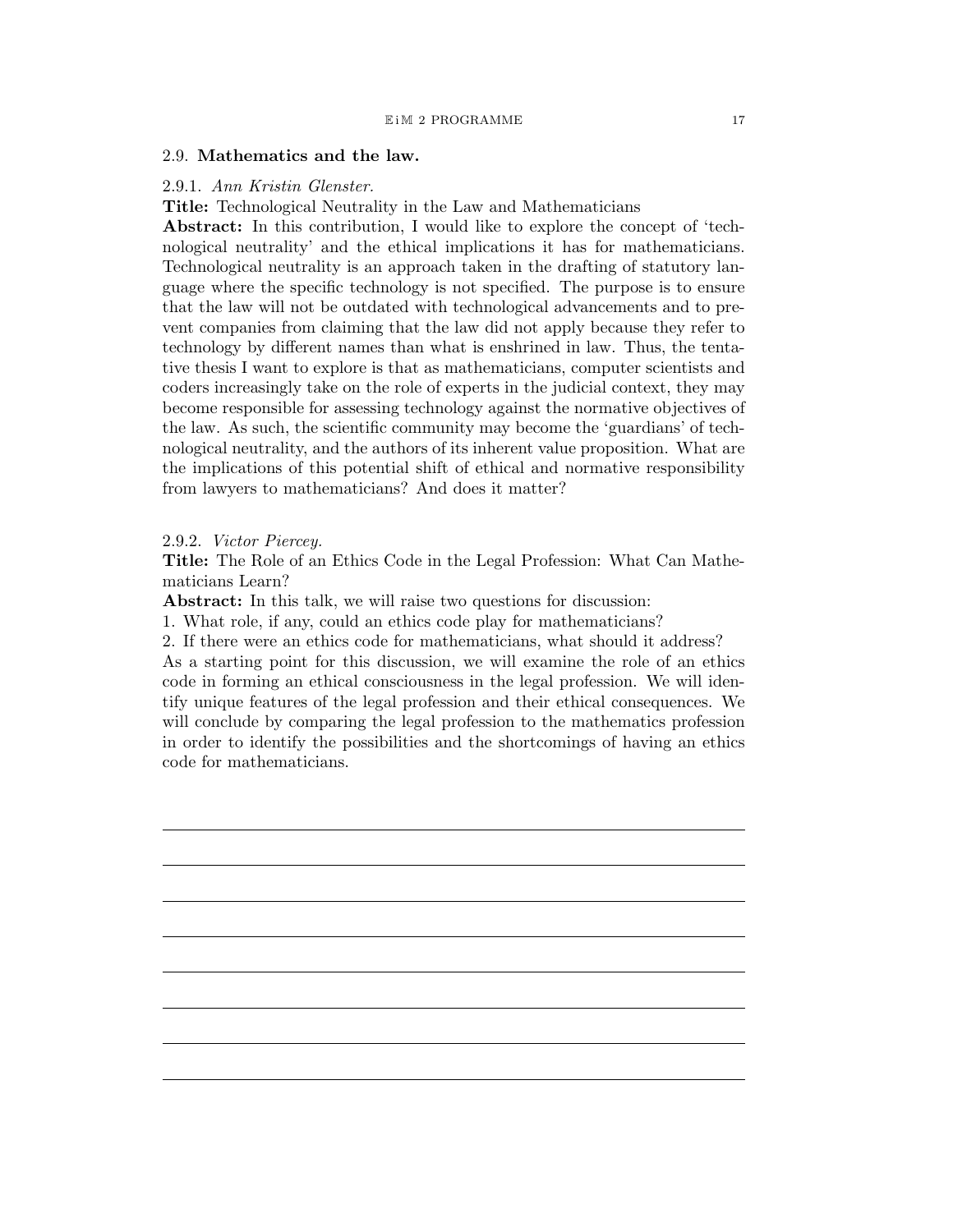#### <span id="page-16-0"></span>2.9. Mathematics and the law.

#### <span id="page-16-1"></span>2.9.1. Ann Kristin Glenster.

Title: Technological Neutrality in the Law and Mathematicians

Abstract: In this contribution, I would like to explore the concept of 'technological neutrality' and the ethical implications it has for mathematicians. Technological neutrality is an approach taken in the drafting of statutory language where the specific technology is not specified. The purpose is to ensure that the law will not be outdated with technological advancements and to prevent companies from claiming that the law did not apply because they refer to technology by different names than what is enshrined in law. Thus, the tentative thesis I want to explore is that as mathematicians, computer scientists and coders increasingly take on the role of experts in the judicial context, they may become responsible for assessing technology against the normative objectives of the law. As such, the scientific community may become the 'guardians' of technological neutrality, and the authors of its inherent value proposition. What are the implications of this potential shift of ethical and normative responsibility from lawyers to mathematicians? And does it matter?

#### <span id="page-16-2"></span>2.9.2. Victor Piercey.

Title: The Role of an Ethics Code in the Legal Profession: What Can Mathematicians Learn?

Abstract: In this talk, we will raise two questions for discussion:

1. What role, if any, could an ethics code play for mathematicians?

2. If there were an ethics code for mathematicians, what should it address?

As a starting point for this discussion, we will examine the role of an ethics code in forming an ethical consciousness in the legal profession. We will identify unique features of the legal profession and their ethical consequences. We will conclude by comparing the legal profession to the mathematics profession in order to identify the possibilities and the shortcomings of having an ethics code for mathematicians.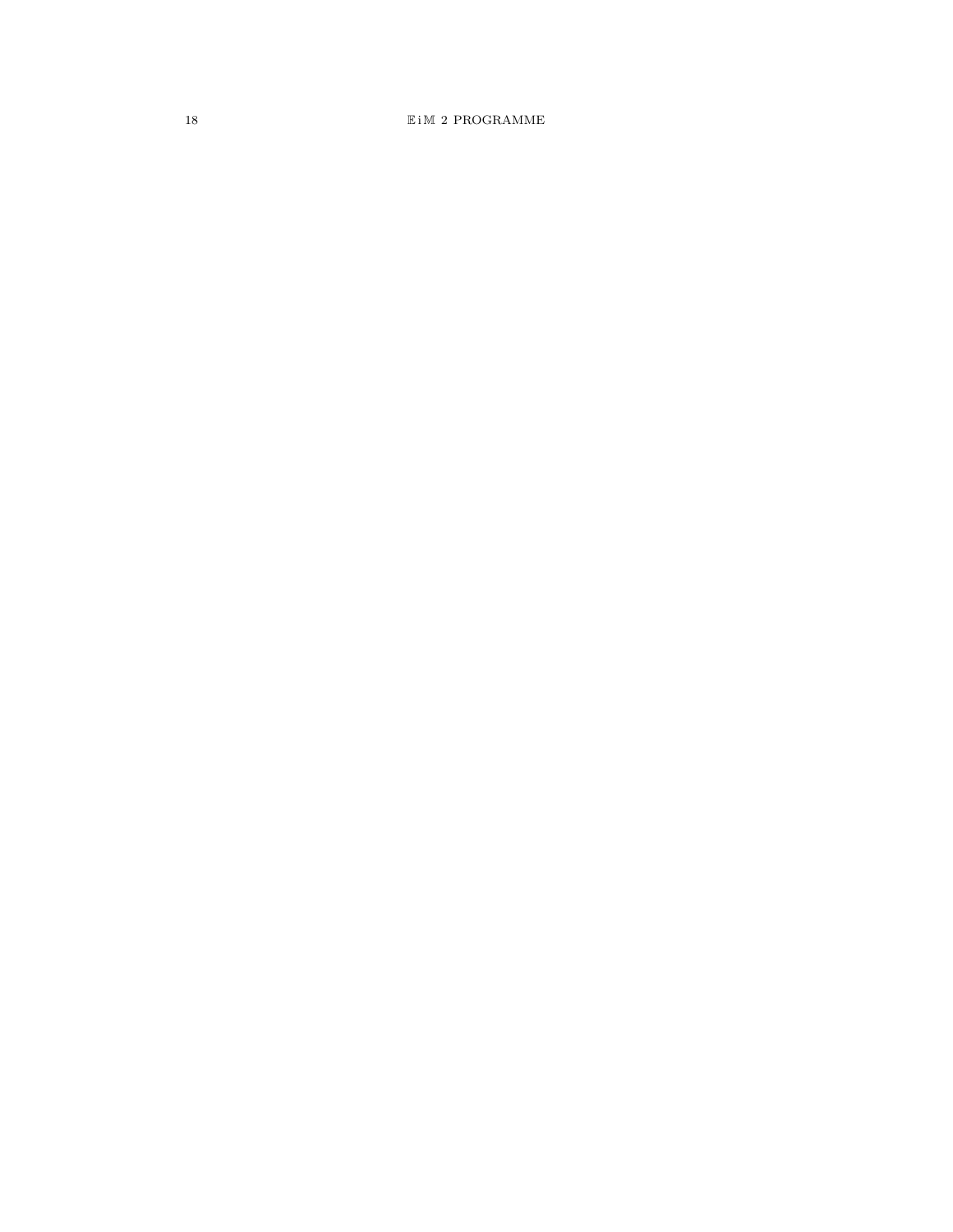$\mathbb{E}\hspace{.5mm} \mathrm{i}\hspace{.5mm}\mathbb{M}$ 2 PROGRAMME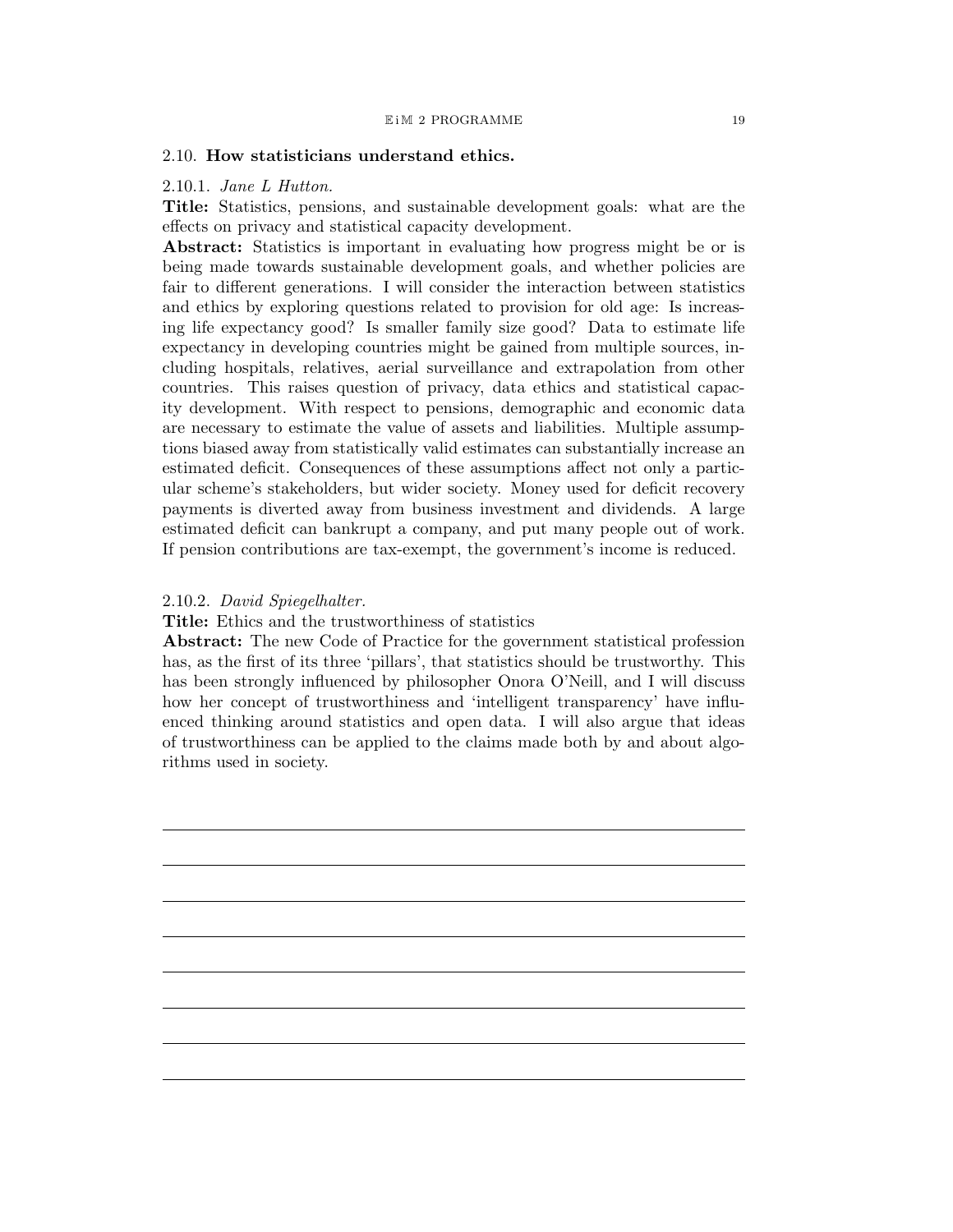#### <span id="page-18-0"></span>2.10. How statisticians understand ethics.

#### <span id="page-18-1"></span>2.10.1. Jane L Hutton.

Title: Statistics, pensions, and sustainable development goals: what are the effects on privacy and statistical capacity development.

Abstract: Statistics is important in evaluating how progress might be or is being made towards sustainable development goals, and whether policies are fair to different generations. I will consider the interaction between statistics and ethics by exploring questions related to provision for old age: Is increasing life expectancy good? Is smaller family size good? Data to estimate life expectancy in developing countries might be gained from multiple sources, including hospitals, relatives, aerial surveillance and extrapolation from other countries. This raises question of privacy, data ethics and statistical capacity development. With respect to pensions, demographic and economic data are necessary to estimate the value of assets and liabilities. Multiple assumptions biased away from statistically valid estimates can substantially increase an estimated deficit. Consequences of these assumptions affect not only a particular scheme's stakeholders, but wider society. Money used for deficit recovery payments is diverted away from business investment and dividends. A large estimated deficit can bankrupt a company, and put many people out of work. If pension contributions are tax-exempt, the government's income is reduced.

#### <span id="page-18-2"></span>2.10.2. David Spiegelhalter.

Title: Ethics and the trustworthiness of statistics

Abstract: The new Code of Practice for the government statistical profession has, as the first of its three 'pillars', that statistics should be trustworthy. This has been strongly influenced by philosopher Onora O'Neill, and I will discuss how her concept of trustworthiness and 'intelligent transparency' have influenced thinking around statistics and open data. I will also argue that ideas of trustworthiness can be applied to the claims made both by and about algorithms used in society.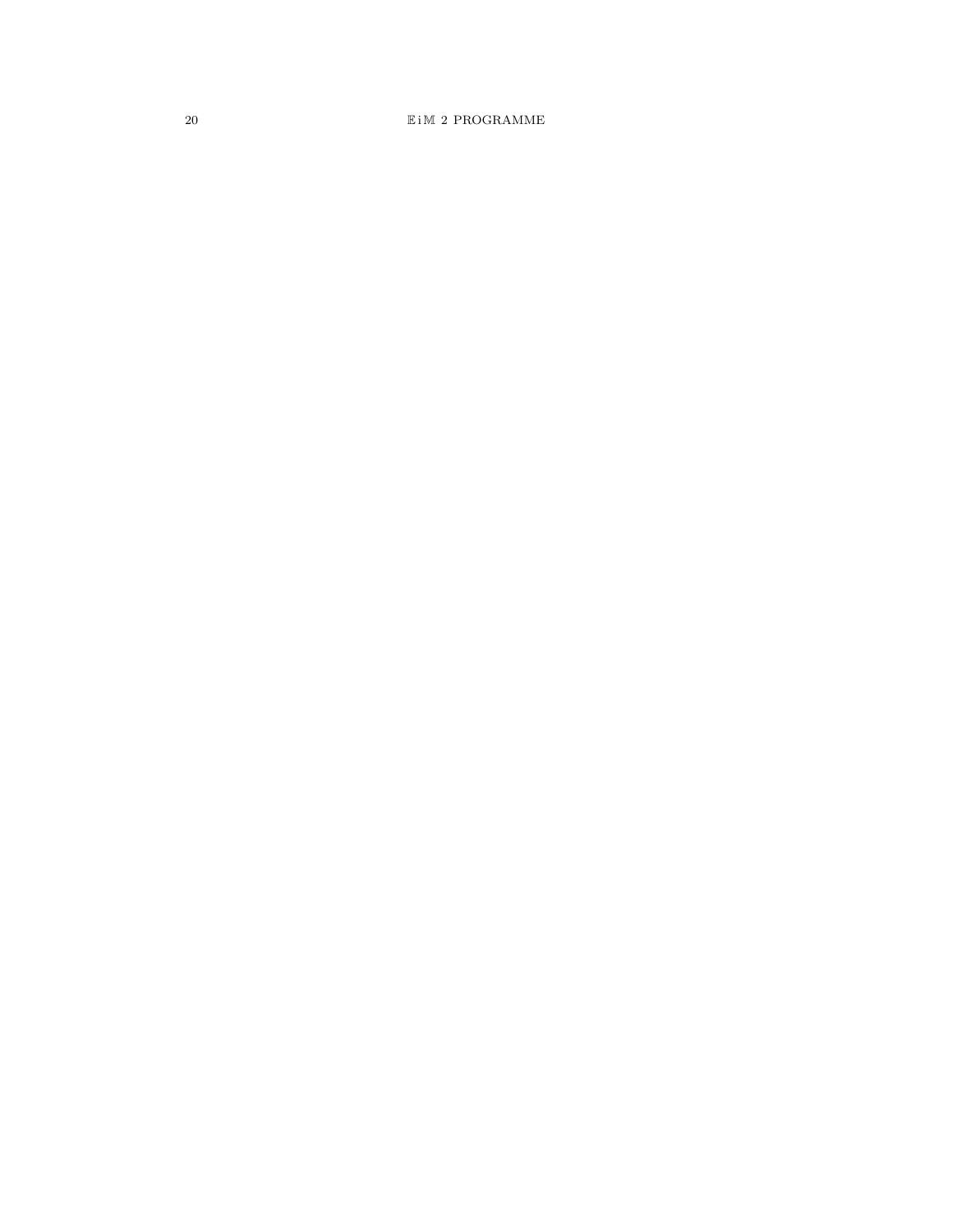$\mathbb{E}\hspace{.5mm} \mathrm{i}\hspace{.5mm}\mathbb{M}\hspace{.5mm}$ 2 $\hspace{.5mm}\mathrm{PROGRAMME}$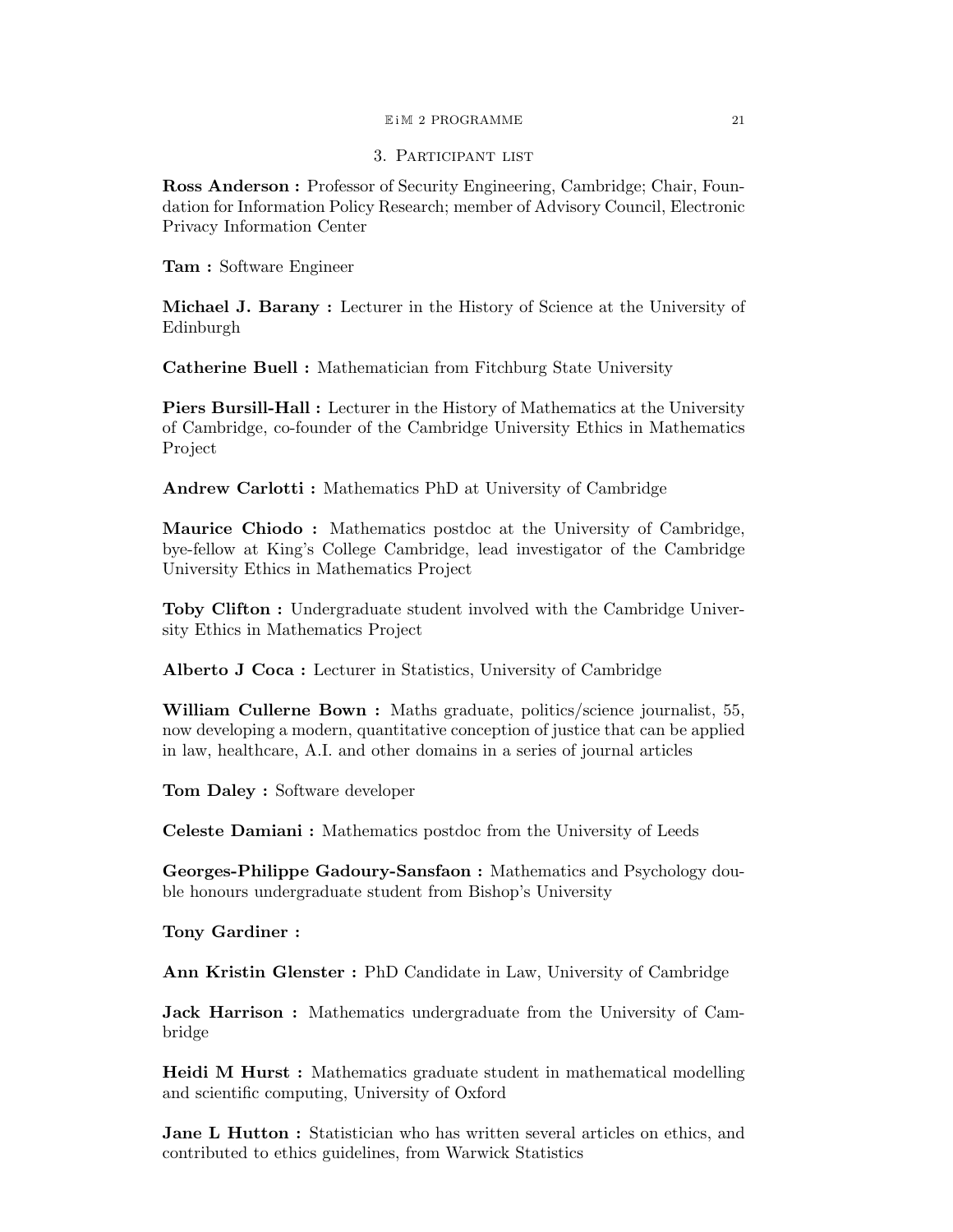#### E i M 2 PROGRAMME 21

### 3. Participant list

<span id="page-20-0"></span>Ross Anderson : Professor of Security Engineering, Cambridge; Chair, Foundation for Information Policy Research; member of Advisory Council, Electronic Privacy Information Center

Tam : Software Engineer

Michael J. Barany : Lecturer in the History of Science at the University of Edinburgh

Catherine Buell : Mathematician from Fitchburg State University

Piers Bursill-Hall : Lecturer in the History of Mathematics at the University of Cambridge, co-founder of the Cambridge University Ethics in Mathematics Project

Andrew Carlotti : Mathematics PhD at University of Cambridge

Maurice Chiodo : Mathematics postdoc at the University of Cambridge, bye-fellow at King's College Cambridge, lead investigator of the Cambridge University Ethics in Mathematics Project

Toby Clifton : Undergraduate student involved with the Cambridge University Ethics in Mathematics Project

Alberto J Coca : Lecturer in Statistics, University of Cambridge

William Cullerne Bown : Maths graduate, politics/science journalist, 55, now developing a modern, quantitative conception of justice that can be applied in law, healthcare, A.I. and other domains in a series of journal articles

Tom Daley : Software developer

Celeste Damiani : Mathematics postdoc from the University of Leeds

Georges-Philippe Gadoury-Sansfaon : Mathematics and Psychology double honours undergraduate student from Bishop's University

Tony Gardiner :

Ann Kristin Glenster : PhD Candidate in Law, University of Cambridge

Jack Harrison : Mathematics undergraduate from the University of Cambridge

Heidi M Hurst : Mathematics graduate student in mathematical modelling and scientific computing, University of Oxford

**Jane L Hutton :** Statistician who has written several articles on ethics, and contributed to ethics guidelines, from Warwick Statistics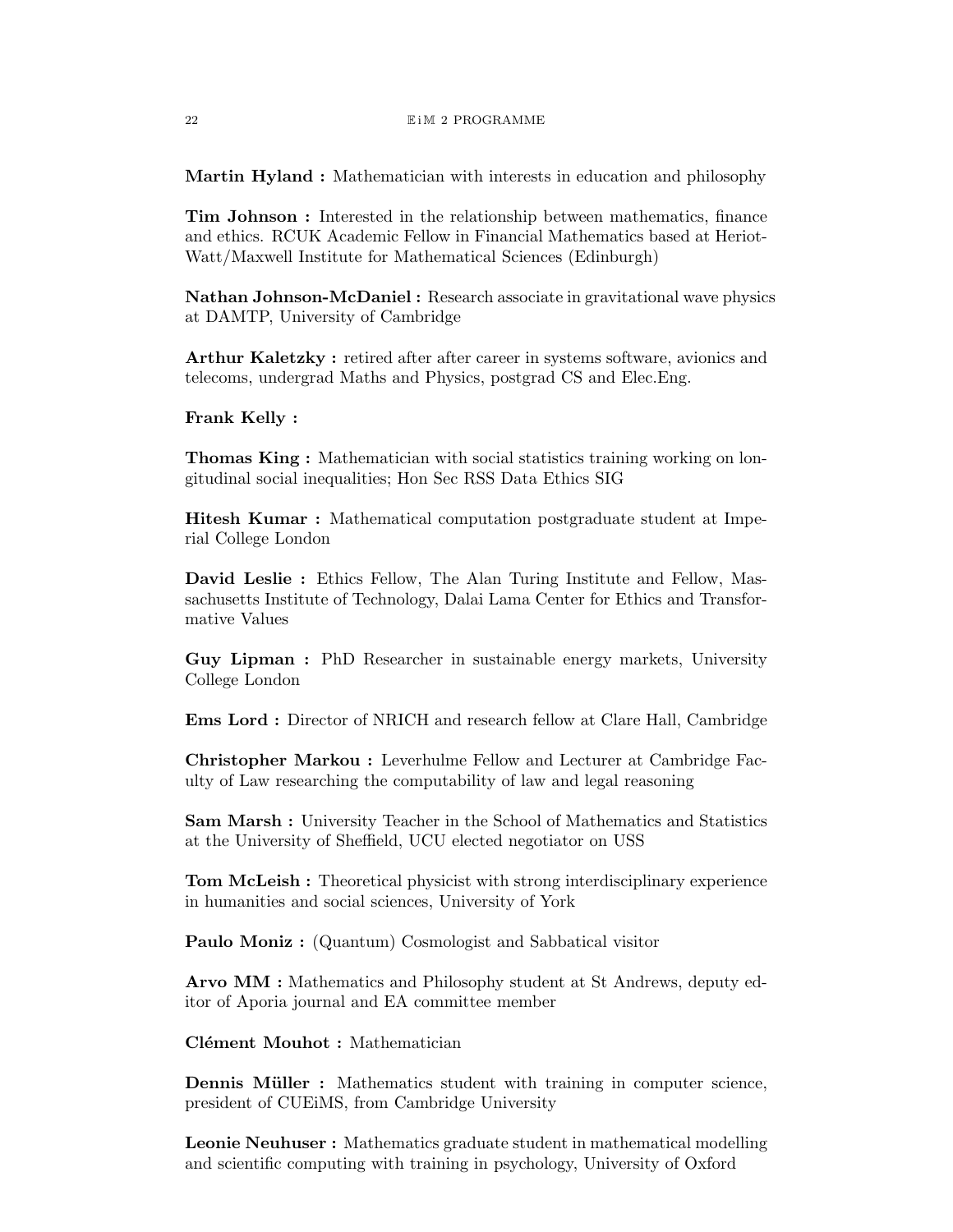Martin Hyland : Mathematician with interests in education and philosophy

Tim Johnson : Interested in the relationship between mathematics, finance and ethics. RCUK Academic Fellow in Financial Mathematics based at Heriot-Watt/Maxwell Institute for Mathematical Sciences (Edinburgh)

Nathan Johnson-McDaniel : Research associate in gravitational wave physics at DAMTP, University of Cambridge

Arthur Kaletzky : retired after after career in systems software, avionics and telecoms, undergrad Maths and Physics, postgrad CS and Elec.Eng.

Frank Kelly :

Thomas King : Mathematician with social statistics training working on longitudinal social inequalities; Hon Sec RSS Data Ethics SIG

Hitesh Kumar : Mathematical computation postgraduate student at Imperial College London

David Leslie : Ethics Fellow, The Alan Turing Institute and Fellow, Massachusetts Institute of Technology, Dalai Lama Center for Ethics and Transformative Values

Guy Lipman : PhD Researcher in sustainable energy markets, University College London

Ems Lord : Director of NRICH and research fellow at Clare Hall, Cambridge

Christopher Markou : Leverhulme Fellow and Lecturer at Cambridge Faculty of Law researching the computability of law and legal reasoning

Sam Marsh : University Teacher in the School of Mathematics and Statistics at the University of Sheffield, UCU elected negotiator on USS

Tom McLeish : Theoretical physicist with strong interdisciplinary experience in humanities and social sciences, University of York

Paulo Moniz : (Quantum) Cosmologist and Sabbatical visitor

Arvo MM : Mathematics and Philosophy student at St Andrews, deputy editor of Aporia journal and EA committee member

Clément Mouhot : Mathematician

**Dennis Müller :** Mathematics student with training in computer science, president of CUEiMS, from Cambridge University

Leonie Neuhuser : Mathematics graduate student in mathematical modelling and scientific computing with training in psychology, University of Oxford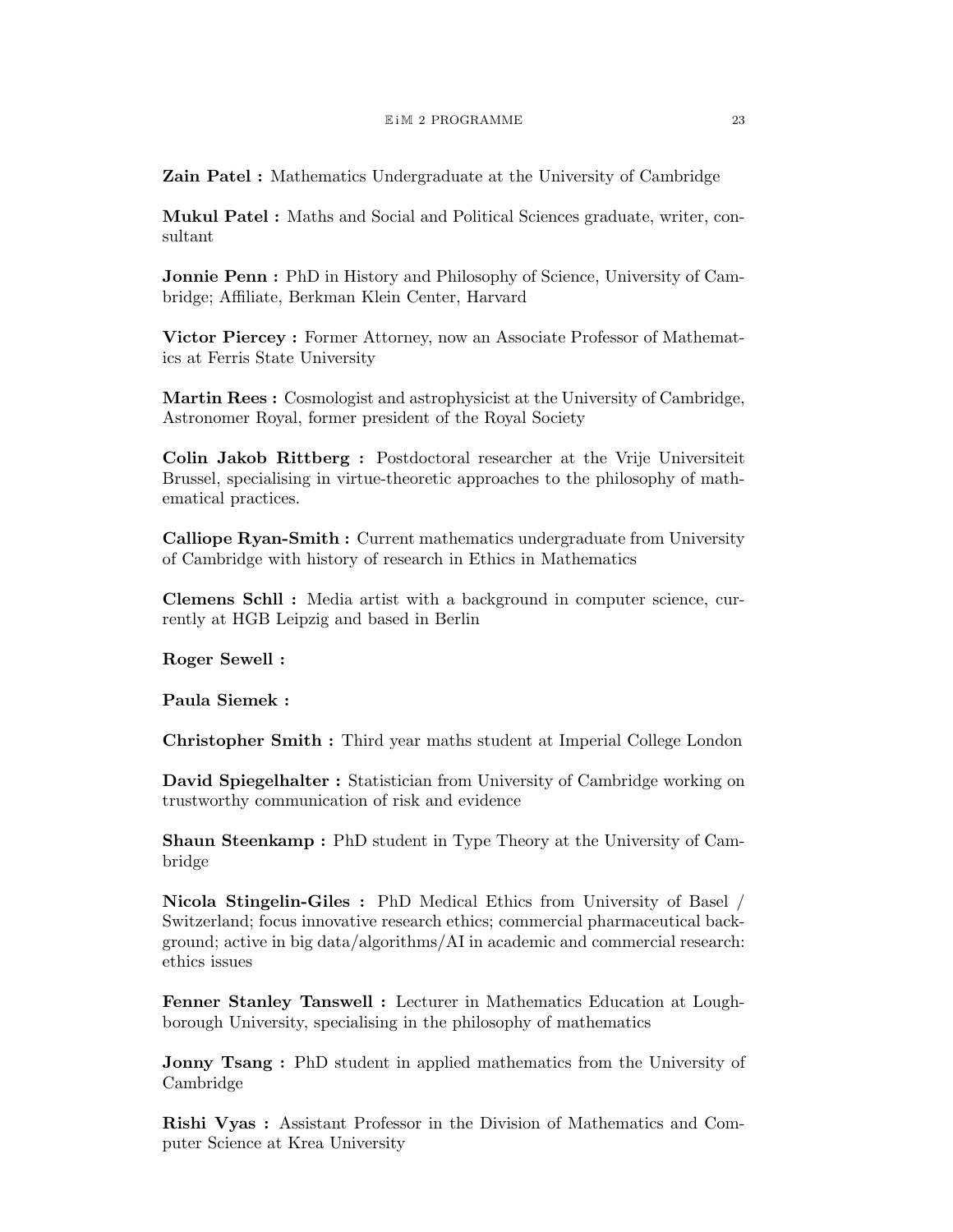Zain Patel : Mathematics Undergraduate at the University of Cambridge

Mukul Patel : Maths and Social and Political Sciences graduate, writer, consultant

Jonnie Penn : PhD in History and Philosophy of Science, University of Cambridge; Affiliate, Berkman Klein Center, Harvard

Victor Piercey : Former Attorney, now an Associate Professor of Mathematics at Ferris State University

Martin Rees : Cosmologist and astrophysicist at the University of Cambridge, Astronomer Royal, former president of the Royal Society

Colin Jakob Rittberg : Postdoctoral researcher at the Vrije Universiteit Brussel, specialising in virtue-theoretic approaches to the philosophy of mathematical practices.

Calliope Ryan-Smith : Current mathematics undergraduate from University of Cambridge with history of research in Ethics in Mathematics

Clemens Schll : Media artist with a background in computer science, currently at HGB Leipzig and based in Berlin

Roger Sewell :

Paula Siemek :

Christopher Smith : Third year maths student at Imperial College London

David Spiegelhalter : Statistician from University of Cambridge working on trustworthy communication of risk and evidence

Shaun Steenkamp : PhD student in Type Theory at the University of Cambridge

Nicola Stingelin-Giles : PhD Medical Ethics from University of Basel / Switzerland; focus innovative research ethics; commercial pharmaceutical background; active in big data/algorithms/AI in academic and commercial research: ethics issues

Fenner Stanley Tanswell : Lecturer in Mathematics Education at Loughborough University, specialising in the philosophy of mathematics

**Jonny Tsang**: PhD student in applied mathematics from the University of Cambridge

Rishi Vyas : Assistant Professor in the Division of Mathematics and Computer Science at Krea University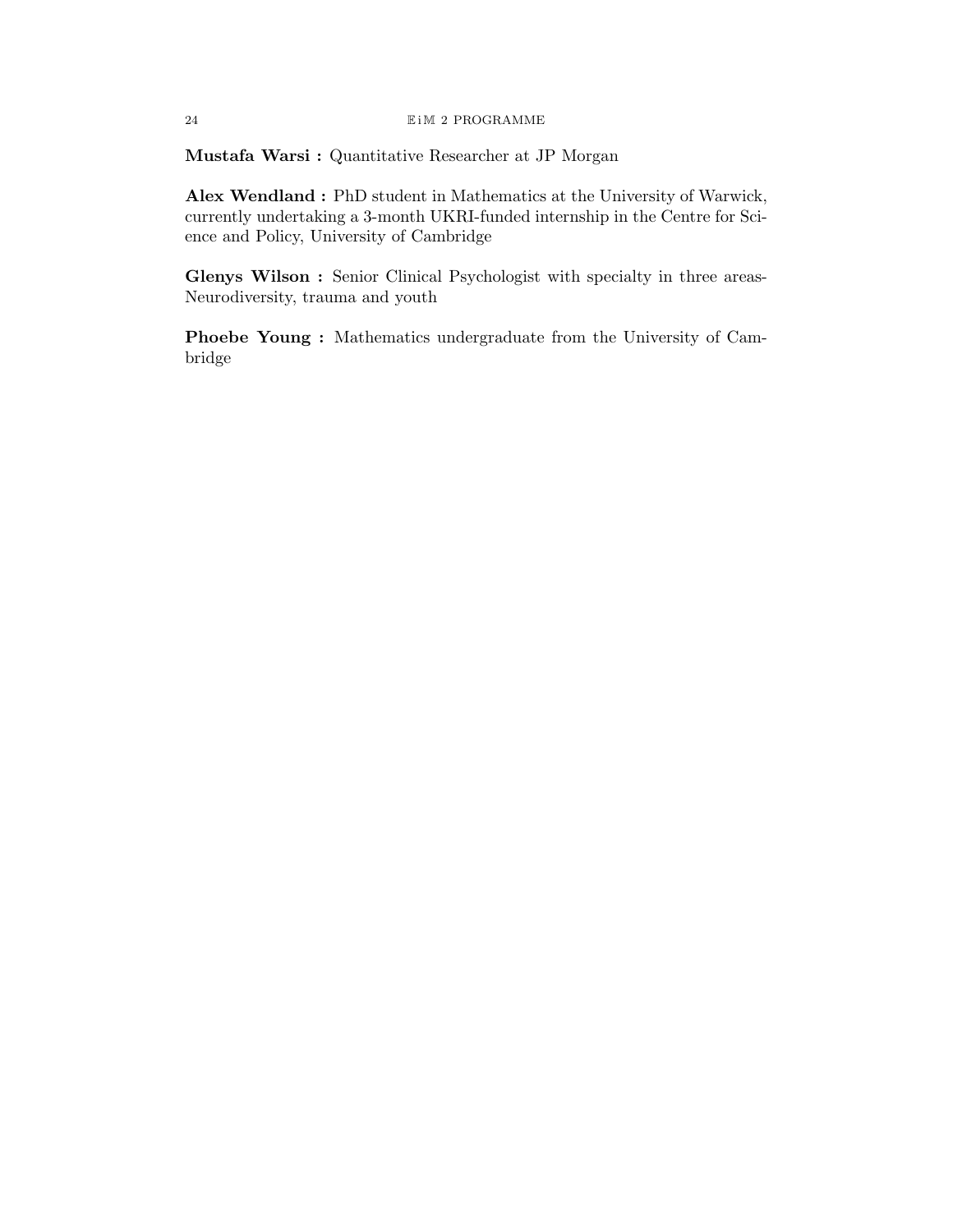### $\mathbb{E}\hspace{1pt}\mathrm{i}\hspace{1pt}\mathbb{M}\hspace{1pt}2\hspace{1pt}\mathsf{PROGRAMME}$

Mustafa Warsi : Quantitative Researcher at JP Morgan

Alex Wendland : PhD student in Mathematics at the University of Warwick, currently undertaking a 3-month UKRI-funded internship in the Centre for Science and Policy, University of Cambridge

Glenys Wilson : Senior Clinical Psychologist with specialty in three areas-Neurodiversity, trauma and youth

Phoebe Young : Mathematics undergraduate from the University of Cambridge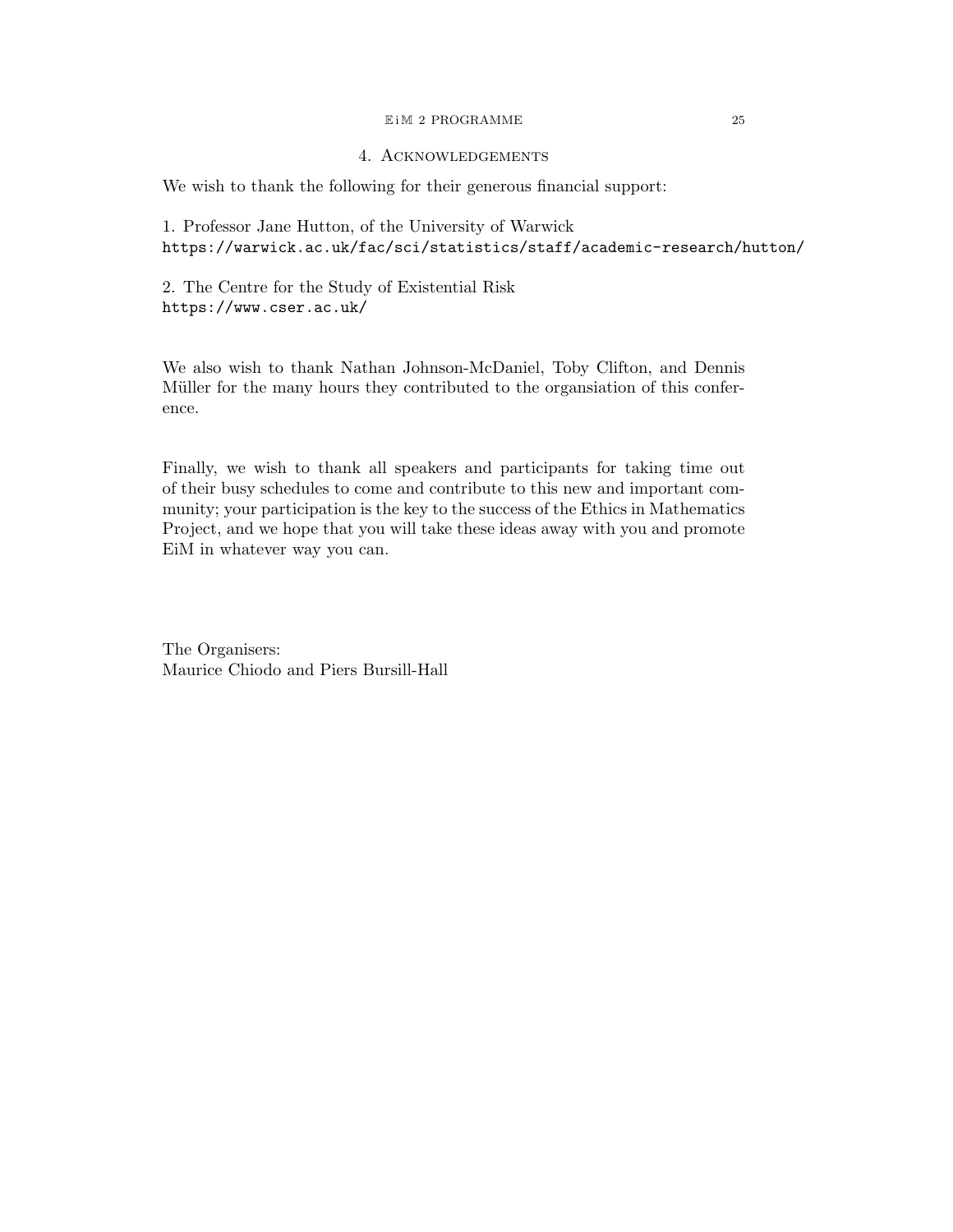## $\mathbb{E} \texttt{i}\, \mathbb{M}$ 2 PROGRAMME 25

#### 4. Acknowledgements

<span id="page-24-0"></span>We wish to thank the following for their generous financial support:

1. Professor Jane Hutton, of the University of Warwick <https://warwick.ac.uk/fac/sci/statistics/staff/academic-research/hutton/>

2. The Centre for the Study of Existential Risk <https://www.cser.ac.uk/>

We also wish to thank Nathan Johnson-McDaniel, Toby Clifton, and Dennis Müller for the many hours they contributed to the organization of this conference.

Finally, we wish to thank all speakers and participants for taking time out of their busy schedules to come and contribute to this new and important community; your participation is the key to the success of the Ethics in Mathematics Project, and we hope that you will take these ideas away with you and promote EiM in whatever way you can.

The Organisers: Maurice Chiodo and Piers Bursill-Hall